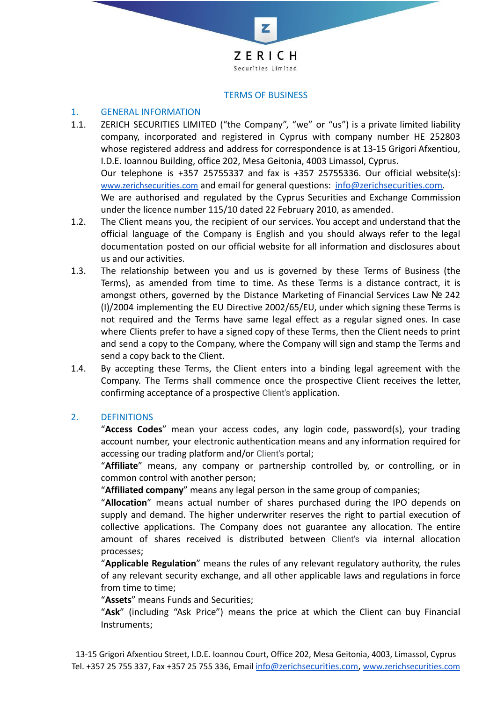

z

#### TERMS OF BUSINESS

### 1. GENERAL INFORMATION

- 1.1. ZERICH SECURITIES LIMITED ("the Company", "we" or "us") is a private limited liability company, incorporated and registered in Cyprus with company number HE 252803 whose registered address and address for correspondence is at 13-15 Grigori Afxentiou, I.D.E. Ioannou Building, office 202, Mesa Geitonia, 4003 Limassol, Cyprus. Our telephone is +357 25755337 and fax is +357 25755336. Our official website(s): [www.zerichsecurities.com](https://www.zerichsecurities.com/) and email for general questions: [info@zerichsecurities.com.](mailto:info@zerichsecurities.com) We are authorised and regulated by the Cyprus Securities and Exchange Commission under the licence number 115/10 dated 22 February 2010, as amended.
- 1.2. The Client means you, the recipient of our services. You accept and understand that the official language of the Company is English and you should always refer to the legal documentation posted on our official website for all information and disclosures about us and our activities.
- 1.3. The relationship between you and us is governed by these Terms of Business (the Terms), as amended from time to time. As these Terms is a distance contract, it is amongst others, governed by the Distance Marketing of Financial Services Law № 242 (I)/2004 implementing the EU Directive 2002/65/EU, under which signing these Terms is not required and the Terms have same legal effect as a regular signed ones. In case where Clients prefer to have a signed copy of these Terms, then the Client needs to print and send a copy to the Company, where the Company will sign and stamp the Terms and send a copy back to the Client.
- 1.4. By accepting these Terms, the Client enters into a binding legal agreement with the Company. The Terms shall commence once the prospective Client receives the letter, confirming acceptance of a prospective Client's application.

#### 2. DEFINITIONS

"**Access Codes**" mean your access codes, any login code, password(s), your trading account number, your electronic authentication means and any information required for accessing our trading platform and/or Client's portal;

"**Affiliate**" means, any company or partnership controlled by, or controlling, or in common control with another person;

"**Affiliated company**" means any legal person in the same group of companies;

"**Allocation**" means actual number of shares purchased during the IPO depends on supply and demand. The higher underwriter reserves the right to partial execution of collective applications. The Company does not guarantee any allocation. The entire amount of shares received is distributed between Client's via internal allocation processes;

"**Applicable Regulation**" means the rules of any relevant regulatory authority, the rules of any relevant security exchange, and all other applicable laws and regulations in force from time to time;

"**Assets**" means Funds and Securities;

"**Ask**" (including "Ask Price") means the price at which the Client can buy Financial Instruments;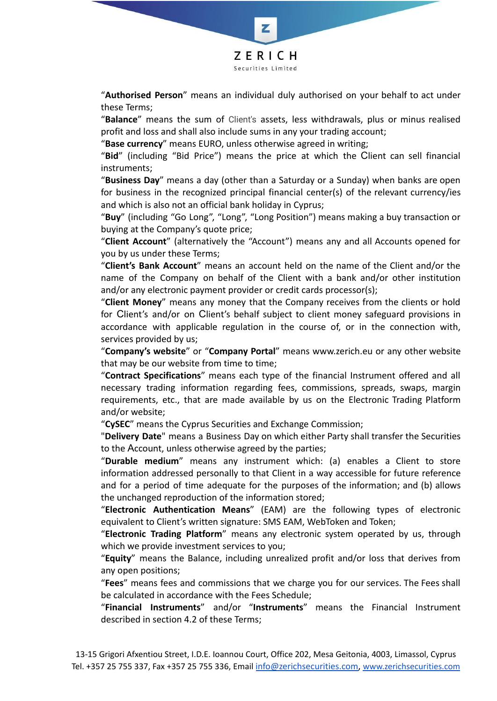

"**Authorised Person**" means an individual duly authorised on your behalf to act under these Terms;

"**Balance**" means the sum of Client's assets, less withdrawals, plus or minus realised profit and loss and shall also include sums in any your trading account;

"**Base currency**" means EURO, unless otherwise agreed in writing;

"**Bid**" (including "Bid Price") means the price at which the Сlient can sell financial instruments;

"**Business Day**" means a day (other than a Saturday or a Sunday) when banks are open for business in the recognized principal financial center(s) of the relevant currency/ies and which is also not an official bank holiday in Cyprus;

"**Buy**" (including "Go Long", "Long", "Long Position") means making a buy transaction or buying at the Company's quote price;

"**Client Account**" (alternatively the "Account") means any and all Accounts opened for you by us under these Terms;

"**Client's Bank Account**" means an account held on the name of the Client and/or the name of the Company on behalf of the Client with a bank and/or other institution and/or any electronic payment provider or credit cards processor(s);

"**Client Money**" means any money that the Company receives from the clients or hold for Сlient's and/or on Сlient's behalf subject to client money safeguard provisions in accordance with applicable regulation in the course of, or in the connection with, services provided by us;

"**Company's website**" or "**Company Portal**" means www.zerich.eu or any other website that may be our website from time to time;

"**Contract Specifications**" means each type of the financial Instrument offered and all necessary trading information regarding fees, commissions, spreads, swaps, margin requirements, etc., that are made available by us on the Electronic Trading Platform and/or website;

"**CySEC**" means the Cyprus Securities and Exchange Commission;

"**Delivery Date**" means a Business Day on which either Party shall transfer the Securities to the Аccount, unless otherwise agreed by the parties;

"**Durable medium**" means any instrument which: (a) enables a Client to store information addressed personally to that Client in a way accessible for future reference and for a period of time adequate for the purposes of the information; and (b) allows the unchanged reproduction of the information stored;

"**Electronic Authentication Means**" (EAM) are the following types of electronic equivalent to Client's written signature: SMS EAM, WebToken and Token;

"**Electronic Trading Platform**" means any electronic system operated by us, through which we provide investment services to you;

"**Equity**" means the Balance, including unrealized profit and/or loss that derives from any open positions;

"**Fees**" means fees and commissions that we charge you for our services. The Fees shall be calculated in accordance with the Fees Schedule;

"**Financial Instruments**" and/or "**Instruments**" means the Financial Instrument described in section 4.2 of these Terms;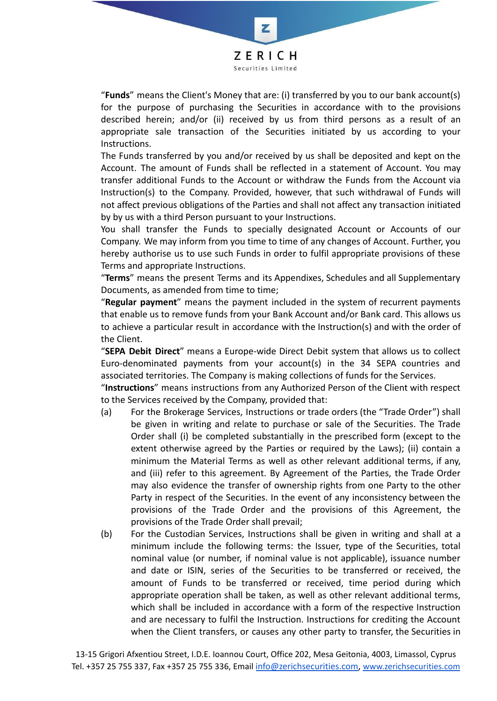

"**Funds**" means the Client's Money that are: (i) transferred by you to our bank account(s) for the purpose of purchasing the Securities in accordance with to the provisions described herein; and/or (ii) received by us from third persons as a result of an appropriate sale transaction of the Securities initiated by us according to your Instructions.

The Funds transferred by you and/or received by us shall be deposited and kept on the Account. The amount of Funds shall be reflected in a statement of Account. You may transfer additional Funds to the Account or withdraw the Funds from the Account via Instruction(s) to the Company. Provided, however, that such withdrawal of Funds will not affect previous obligations of the Parties and shall not affect any transaction initiated by by us with a third Person pursuant to your Instructions.

You shall transfer the Funds to specially designated Account or Accounts of our Company. We may inform from you time to time of any changes of Account. Further, you hereby authorise us to use such Funds in order to fulfil appropriate provisions of these Terms and appropriate Instructions.

"**Terms**" means the present Terms and its Appendixes, Schedules and all Supplementary Documents, as amended from time to time;

"**Regular payment**" means the payment included in the system of recurrent payments that enable us to remove funds from your Bank Account and/or Bank card. This allows us to achieve a particular result in accordance with the Instruction(s) and with the order of the Client.

"**SEPA Debit Direct**" means a Europe-wide Direct Debit system that allows us to collect Euro-denominated payments from your account(s) in the 34 SEPA countries and associated territories. The Company is making collections of funds for the Services.

"**Instructions**" means instructions from any Authorized Person of the Client with respect to the Services received by the Company, provided that:

- (a) For the Brokerage Services, Instructions or trade orders (the "Trade Order") shall be given in writing and relate to purchase or sale of the Securities. The Trade Order shall (i) be completed substantially in the prescribed form (except to the extent otherwise agreed by the Parties or required by the Laws); (ii) contain a minimum the Material Terms as well as other relevant additional terms, if any, and (iii) refer to this agreement. By Agreement of the Parties, the Trade Order may also evidence the transfer of ownership rights from one Party to the other Party in respect of the Securities. In the event of any inconsistency between the provisions of the Trade Order and the provisions of this Agreement, the provisions of the Trade Order shall prevail;
- (b) For the Custodian Services, Instructions shall be given in writing and shall at a minimum include the following terms: the Issuer, type of the Securities, total nominal value (or number, if nominal value is not applicable), issuance number and date or ISIN, series of the Securities to be transferred or received, the amount of Funds to be transferred or received, time period during which appropriate operation shall be taken, as well as other relevant additional terms, which shall be included in accordance with a form of the respective Instruction and are necessary to fulfil the Instruction. Instructions for crediting the Account when the Client transfers, or causes any other party to transfer, the Securities in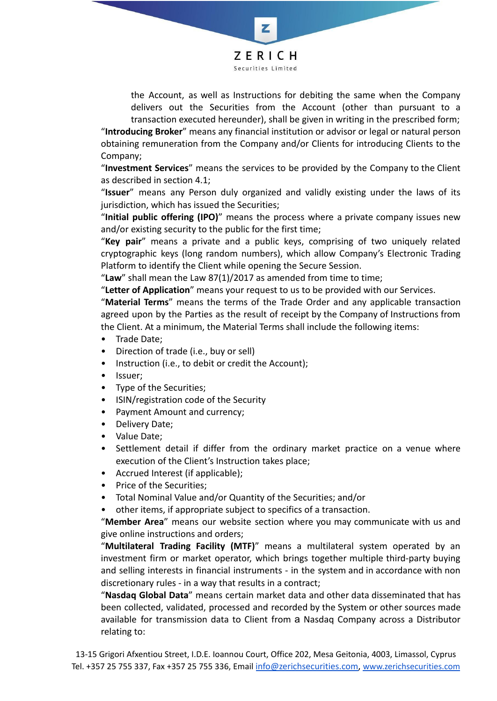

Z

the Account, as well as Instructions for debiting the same when the Company delivers out the Securities from the Account (other than pursuant to a transaction executed hereunder), shall be given in writing in the prescribed form;

"**Introducing Broker**" means any financial institution or advisor or legal or natural person obtaining remuneration from the Company and/or Clients for introducing Clients to the Company;

"**Investment Services**" means the services to be provided by the Company to the Client as described in section 4.1;

"**Issuer**" means any Person duly organized and validly existing under the laws of its jurisdiction, which has issued the Securities;

"**Initial public offering (IPO)**" means the process where a private company issues new and/or existing security to the public for the first time;

"**Key pair**" means a private and a public keys, comprising of two uniquely related cryptographic keys (long random numbers), which allow Company's Electronic Trading Platform to identify the Client while opening the Secure Session.

"Law" shall mean the Law 87(1)/2017 as amended from time to time;

"**Letter of Application**" means your request to us to be provided with our Services.

"**Material Terms**" means the terms of the Trade Order and any applicable transaction agreed upon by the Parties as the result of receipt by the Company of Instructions from the Client. At a minimum, the Material Terms shall include the following items:

- Trade Date;
- Direction of trade (i.e., buy or sell)
- Instruction (i.e., to debit or credit the Account);
- Issuer;
- Type of the Securities;
- ISIN/registration code of the Security
- Payment Amount and currency;
- Delivery Date;
- Value Date;
- Settlement detail if differ from the ordinary market practice on a venue where execution of the Client's Instruction takes place;
- Accrued Interest (if applicable);
- Price of the Securities;
- Total Nominal Value and/or Quantity of the Securities; and/or
- other items, if appropriate subject to specifics of a transaction.

"**Member Area**" means our website section where you may communicate with us and give online instructions and orders;

"**Multilateral Trading Facility (MTF)**" means a multilateral system operated by an investment firm or market operator, which brings together multiple third-party buying and selling interests in financial instruments - in the system and in accordance with non discretionary rules - in a way that results in a contract;

"**Nasdaq Global Data**" means certain market data and other data disseminated that has been collected, validated, processed and recorded by the System or other sources made available for transmission data to Client from а Nasdaq Company across a Distributor relating to: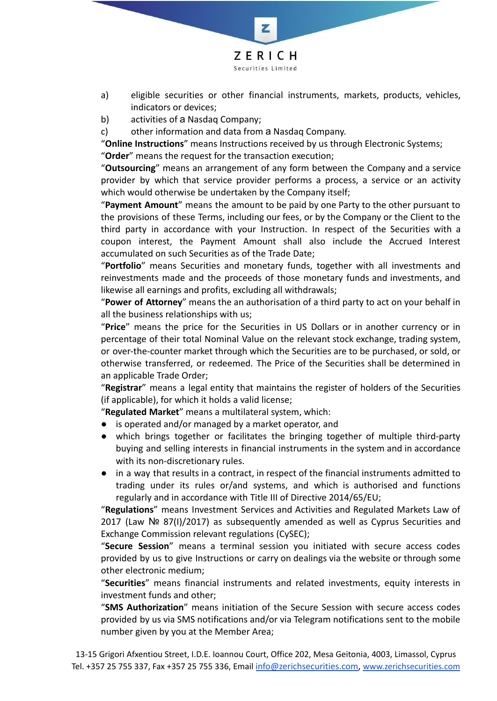

- a) eligible securities or other financial instruments, markets, products, vehicles, indicators or devices;
- b) activities of a Nasdag Company;
- c) other information and data from а Nasdaq Company.

"**Online Instructions**" means Instructions received by us through Electronic Systems; "**Order**" means the request for the transaction execution;

"**Outsourcing**" means an arrangement of any form between the Company and a service provider by which that service provider performs a process, a service or an activity which would otherwise be undertaken by the Company itself;

"**Payment Amount**" means the amount to be paid by one Party to the other pursuant to the provisions of these Terms, including our fees, or by the Company or the Client to the third party in accordance with your Instruction. In respect of the Securities with a coupon interest, the Payment Amount shall also include the Accrued Interest accumulated on such Securities as of the Trade Date;

"**Portfolio**" means Securities and monetary funds, together with all investments and reinvestments made and the proceeds of those monetary funds and investments, and likewise all earnings and profits, excluding all withdrawals;

"**Power of Attorney**" means the an authorisation of a third party to act on your behalf in all the business relationships with us;

"**Price**" means the price for the Securities in US Dollars or in another currency or in percentage of their total Nominal Value on the relevant stock exchange, trading system, or over-the-counter market through which the Securities are to be purchased, or sold, or otherwise transferred, or redeemed. The Price of the Securities shall be determined in an applicable Trade Order;

"**Registrar**" means a legal entity that maintains the register of holders of the Securities (if applicable), for which it holds a valid license;

"**Regulated Market**" means a multilateral system, which:

- is operated and/or managed by a market operator, and
- which brings together or facilitates the bringing together of multiple third-party buying and selling interests in financial instruments in the system and in accordance with its non-discretionary rules.
- in a way that results in a contract, in respect of the financial instruments admitted to trading under its rules or/and systems, and which is authorised and functions regularly and in accordance with Title III of Directive 2014/65/EU;

"**Regulations**" means Investment Services and Activities and Regulated Markets Law of 2017 (Law № 87(I)/2017) as subsequently amended as well as Cyprus Securities and Exchange Commission relevant regulations (CySEC);

"**Secure Session**" means a terminal session you initiated with secure access codes provided by us to give Instructions or carry on dealings via the website or through some other electronic medium;

"**Securities**" means financial instruments and related investments, equity interests in investment funds and other;

"**SMS Authorization**" means initiation of the Secure Session with secure access codes provided by us via SMS notifications and/or via Telegram notifications sent to the mobile number given by you at the Member Area;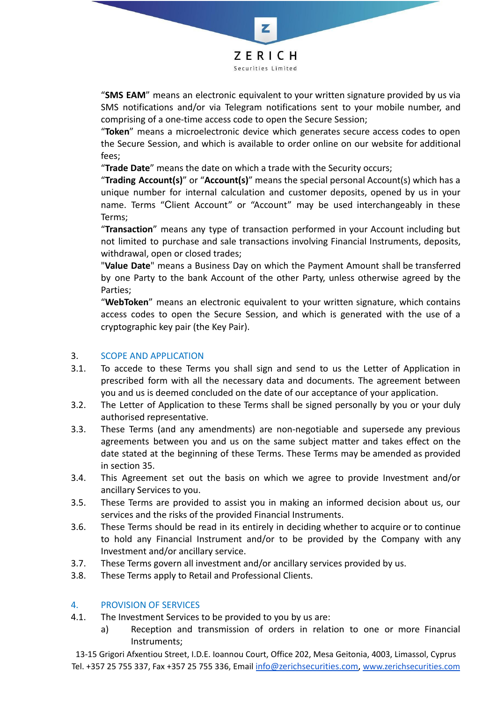

"**SMS EAM**" means an electronic equivalent to your written signature provided by us via SMS notifications and/or via Telegram notifications sent to your mobile number, and comprising of a one-time access code to open the Secure Session;

"**Token**" means a microelectronic device which generates secure access codes to open the Secure Session, and which is available to order online on our website for additional fees;

"**Trade Date**" means the date on which a trade with the Security occurs;

"**Trading Account(s)**" or "**Account(s)**" means the special personal Account(s) which has a unique number for internal calculation and customer deposits, opened by us in your name. Terms "Сlient Account" or "Account" may be used interchangeably in these Terms;

"**Transaction**" means any type of transaction performed in your Account including but not limited to purchase and sale transactions involving Financial Instruments, deposits, withdrawal, open or closed trades;

"**Value Date**" means a Business Day on which the Payment Amount shall be transferred by one Party to the bank Account of the other Party, unless otherwise agreed by the Parties;

"**WebToken**" means an electronic equivalent to your written signature, which contains access codes to open the Secure Session, and which is generated with the use of a cryptographic key pair (the Key Pair).

### 3. SCOPE AND APPLICATION

- 3.1. To accede to these Terms you shall sign and send to us the Letter of Application in prescribed form with all the necessary data and documents. The agreement between you and us is deemed concluded on the date of our acceptance of your application.
- 3.2. The Letter of Application to these Terms shall be signed personally by you or your duly authorised representative.
- 3.3. These Terms (and any amendments) are non-negotiable and supersede any previous agreements between you and us on the same subject matter and takes effect on the date stated at the beginning of these Terms. These Terms may be amended as provided in section 35.
- 3.4. This Agreement set out the basis on which we agree to provide Investment and/or ancillary Services to you.
- 3.5. These Terms are provided to assist you in making an informed decision about us, our services and the risks of the provided Financial Instruments.
- 3.6. These Terms should be read in its entirely in deciding whether to acquire or to continue to hold any Financial Instrument and/or to be provided by the Company with any Investment and/or ancillary service.
- 3.7. These Terms govern all investment and/or ancillary services provided by us.
- 3.8. These Terms apply to Retail and Professional Clients.

#### 4. PROVISION OF SERVICES

- 4.1. The Investment Services to be provided to you by us are:
	- a) Reception and transmission of orders in relation to one or more Financial Instruments;

13-15 Grigori Afxentiou Street, I.D.E. Ioannou Court, Office 202, Mesa Geitonia, 4003, Limassol, Cyprus Tel. +357 25 755 337, Fax +357 25 755 336, Email [info@zerichsecurities.com](mailto:info@zerichsecurities.com), [www.zerichsecurities.com](https://www.zerichsecurities.com/)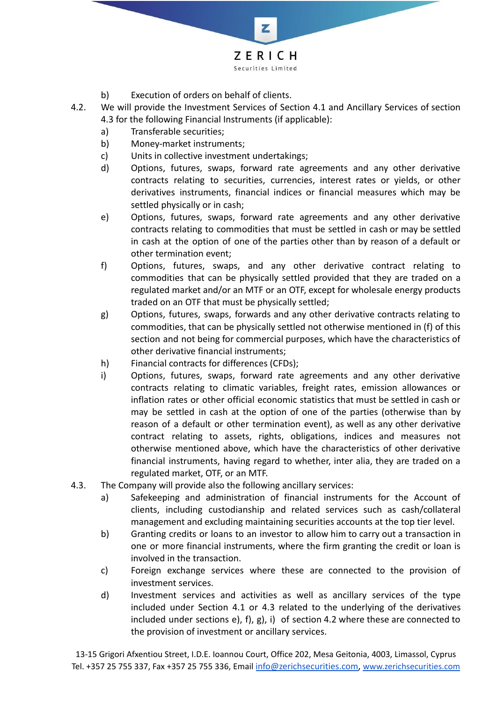

- b) Execution of orders on behalf of clients.
- 4.2. We will provide the Investment Services of Section 4.1 and Ancillary Services of section 4.3 for the following Financial Instruments (if applicable):
	- a) Transferable securities;
	- b) Money-market instruments;
	- c) Units in collective investment undertakings;
	- d) Options, futures, swaps, forward rate agreements and any other derivative contracts relating to securities, currencies, interest rates or yields, or other derivatives instruments, financial indices or financial measures which may be settled physically or in cash;
	- e) Options, futures, swaps, forward rate agreements and any other derivative contracts relating to commodities that must be settled in cash or may be settled in cash at the option of one of the parties other than by reason of a default or other termination event;
	- f) Options, futures, swaps, and any other derivative contract relating to commodities that can be physically settled provided that they are traded on a regulated market and/or an MTF or an OTF, except for wholesale energy products traded on an OTF that must be physically settled;
	- g) Options, futures, swaps, forwards and any other derivative contracts relating to commodities, that can be physically settled not otherwise mentioned in (f) of this section and not being for commercial purposes, which have the characteristics of other derivative financial instruments;
	- h) Financial contracts for differences (CFDs);
	- i) Options, futures, swaps, forward rate agreements and any other derivative contracts relating to climatic variables, freight rates, emission allowances or inflation rates or other official economic statistics that must be settled in cash or may be settled in cash at the option of one of the parties (otherwise than by reason of a default or other termination event), as well as any other derivative contract relating to assets, rights, obligations, indices and measures not otherwise mentioned above, which have the characteristics of other derivative financial instruments, having regard to whether, inter alia, they are traded on a regulated market, OTF, or an MTF.
- 4.3. The Company will provide also the following ancillary services:
	- a) Safekeeping and administration of financial instruments for the Account of clients, including custodianship and related services such as cash/collateral management and excluding maintaining securities accounts at the top tier level.
	- b) Granting credits or loans to an investor to allow him to carry out a transaction in one or more financial instruments, where the firm granting the credit or loan is involved in the transaction.
	- c) Foreign exchange services where these are connected to the provision of investment services.
	- d) Investment services and activities as well as ancillary services of the type included under Section 4.1 or 4.3 related to the underlying of the derivatives included under sections e), f), g), i) of section 4.2 where these are connected to the provision of investment or ancillary services.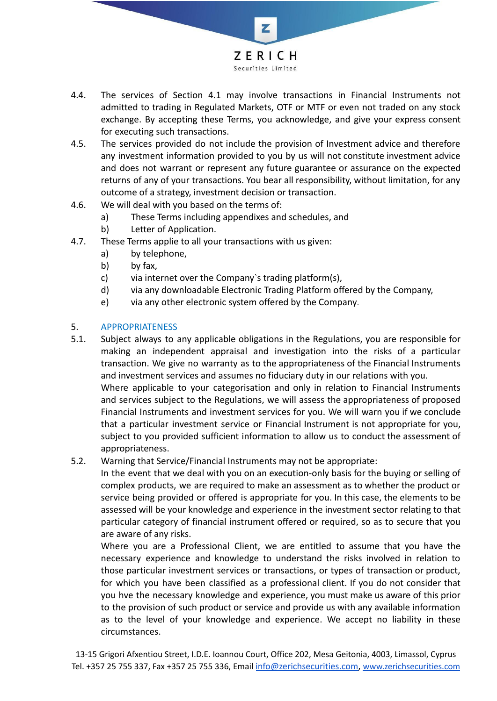

- 4.4. The services of Section 4.1 may involve transactions in Financial Instruments not admitted to trading in Regulated Markets, OTF or MTF or even not traded on any stock exchange. By accepting these Terms, you acknowledge, and give your express consent for executing such transactions.
- 4.5. The services provided do not include the provision of Investment advice and therefore any investment information provided to you by us will not constitute investment advice and does not warrant or represent any future guarantee or assurance on the expected returns of any of your transactions. You bear all responsibility, without limitation, for any outcome of a strategy, investment decision or transaction.
- 4.6. We will deal with you based on the terms of:
	- a) These Terms including appendixes and schedules, and
	- b) Letter of Application.
- 4.7. These Terms applie to all your transactions with us given:
	- a) by telephone,
	- b) by fax,
	- c) via internet over the Company`s trading platform(s),
	- d) via any downloadable Electronic Trading Platform offered by the Company,
	- e) via any other electronic system offered by the Company.

## 5. APPROPRIATENESS

- 5.1. Subject always to any applicable obligations in the Regulations, you are responsible for making an independent appraisal and investigation into the risks of a particular transaction. We give no warranty as to the appropriateness of the Financial Instruments and investment services and assumes no fiduciary duty in our relations with you. Where applicable to your categorisation and only in relation to Financial Instruments and services subject to the Regulations, we will assess the appropriateness of proposed Financial Instruments and investment services for you. We will warn you if we conclude that a particular investment service or Financial Instrument is not appropriate for you, subject to you provided sufficient information to allow us to conduct the assessment of appropriateness.
- 5.2. Warning that Service/Financial Instruments may not be appropriate:

In the event that we deal with you on an execution-only basis for the buying or selling of complex products, we are required to make an assessment as to whether the product or service being provided or offered is appropriate for you. In this case, the elements to be assessed will be your knowledge and experience in the investment sector relating to that particular category of financial instrument offered or required, so as to secure that you are aware of any risks.

Where you are a Professional Client, we are entitled to assume that you have the necessary experience and knowledge to understand the risks involved in relation to those particular investment services or transactions, or types of transaction or product, for which you have been classified as a professional client. If you do not consider that you hve the necessary knowledge and experience, you must make us aware of this prior to the provision of such product or service and provide us with any available information as to the level of your knowledge and experience. We accept no liability in these circumstances.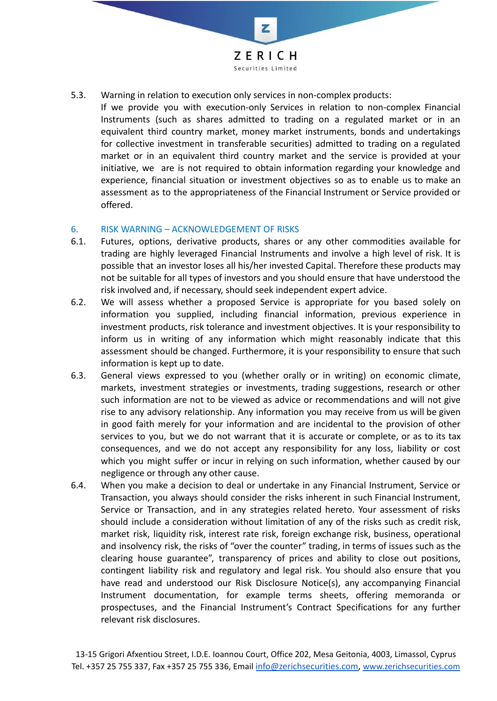

- 5.3. Warning in relation to execution only services in non-complex products:
	- If we provide you with execution-only Services in relation to non-complex Financial Instruments (such as shares admitted to trading on a regulated market or in an equivalent third country market, money market instruments, bonds and undertakings for collective investment in transferable securities) admitted to trading on a regulated market or in an equivalent third country market and the service is provided at your initiative, we are is not required to obtain information regarding your knowledge and experience, financial situation or investment objectives so as to enable us to make an assessment as to the appropriateness of the Financial Instrument or Service provided or offered.

#### 6. RISK WARNING – ACKNOWLEDGEMENT OF RISKS

- 6.1. Futures, options, derivative products, shares or any other commodities available for trading are highly leveraged Financial Instruments and involve a high level of risk. It is possible that an investor loses all his/her invested Capital. Therefore these products may not be suitable for all types of investors and you should ensure that have understood the risk involved and, if necessary, should seek independent expert advice.
- 6.2. We will assess whether a proposed Service is appropriate for you based solely on information you supplied, including financial information, previous experience in investment products, risk tolerance and investment objectives. It is your responsibility to inform us in writing of any information which might reasonably indicate that this assessment should be changed. Furthermore, it is your responsibility to ensure that such information is kept up to date.
- 6.3. General views expressed to you (whether orally or in writing) on economic climate, markets, investment strategies or investments, trading suggestions, research or other such information are not to be viewed as advice or recommendations and will not give rise to any advisory relationship. Any information you may receive from us will be given in good faith merely for your information and are incidental to the provision of other services to you, but we do not warrant that it is accurate or complete, or as to its tax consequences, and we do not accept any responsibility for any loss, liability or cost which you might suffer or incur in relying on such information, whether caused by our negligence or through any other cause.
- 6.4. When you make a decision to deal or undertake in any Financial Instrument, Service or Transaction, you always should consider the risks inherent in such Financial Instrument, Service or Transaction, and in any strategies related hereto. Your assessment of risks should include a consideration without limitation of any of the risks such as credit risk, market risk, liquidity risk, interest rate risk, foreign exchange risk, business, operational and insolvency risk, the risks of "over the counter" trading, in terms of issues such as the clearing house guarantee", transparency of prices and ability to close out positions, contingent liability risk and regulatory and legal risk. You should also ensure that you have read and understood our Risk Disclosure Notice(s), any accompanying Financial Instrument documentation, for example terms sheets, offering memoranda or prospectuses, and the Financial Instrument's Contract Specifications for any further relevant risk disclosures.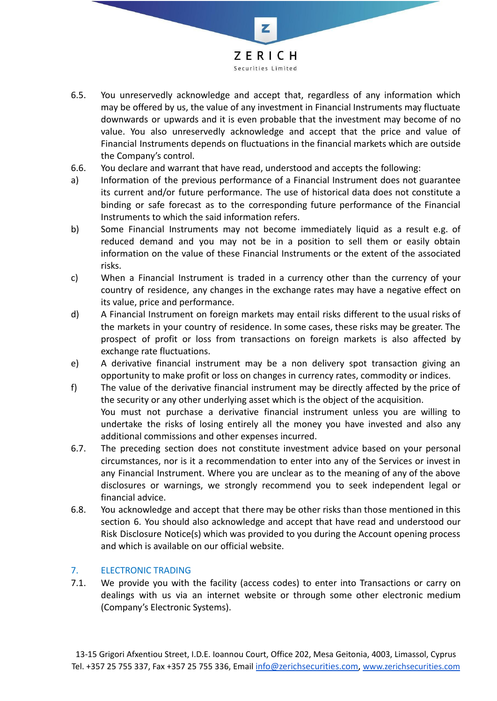

- 6.5. You unreservedly acknowledge and accept that, regardless of any information which may be offered by us, the value of any investment in Financial Instruments may fluctuate downwards or upwards and it is even probable that the investment may become of no value. You also unreservedly acknowledge and accept that the price and value of Financial Instruments depends on fluctuations in the financial markets which are outside the Company's control.
- 6.6. You declare and warrant that have read, understood and accepts the following:
- a) Information of the previous performance of a Financial Instrument does not guarantee its current and/or future performance. The use of historical data does not constitute a binding or safe forecast as to the corresponding future performance of the Financial Instruments to which the said information refers.
- b) Some Financial Instruments may not become immediately liquid as a result e.g. of reduced demand and you may not be in a position to sell them or easily obtain information on the value of these Financial Instruments or the extent of the associated risks.
- c) When a Financial Instrument is traded in a currency other than the currency of your country of residence, any changes in the exchange rates may have a negative effect on its value, price and performance.
- d) A Financial Instrument on foreign markets may entail risks different to the usual risks of the markets in your country of residence. In some cases, these risks may be greater. The prospect of profit or loss from transactions on foreign markets is also affected by exchange rate fluctuations.
- e) A derivative financial instrument may be a non delivery spot transaction giving an opportunity to make profit or loss on changes in currency rates, commodity or indices.
- f) The value of the derivative financial instrument may be directly affected by the price of the security or any other underlying asset which is the object of the acquisition. You must not purchase a derivative financial instrument unless you are willing to undertake the risks of losing entirely all the money you have invested and also any
- additional commissions and other expenses incurred. 6.7. The preceding section does not constitute investment advice based on your personal circumstances, nor is it a recommendation to enter into any of the Services or invest in any Financial Instrument. Where you are unclear as to the meaning of any of the above disclosures or warnings, we strongly recommend you to seek independent legal or financial advice.
- 6.8. You acknowledge and accept that there may be other risks than those mentioned in this section 6. You should also acknowledge and accept that have read and understood our Risk Disclosure Notice(s) which was provided to you during the Account opening process and which is available on our official website.

# 7. ELECTRONIC TRADING

7.1. We provide you with the facility (access codes) to enter into Transactions or carry on dealings with us via an internet website or through some other electronic medium (Company's Electronic Systems).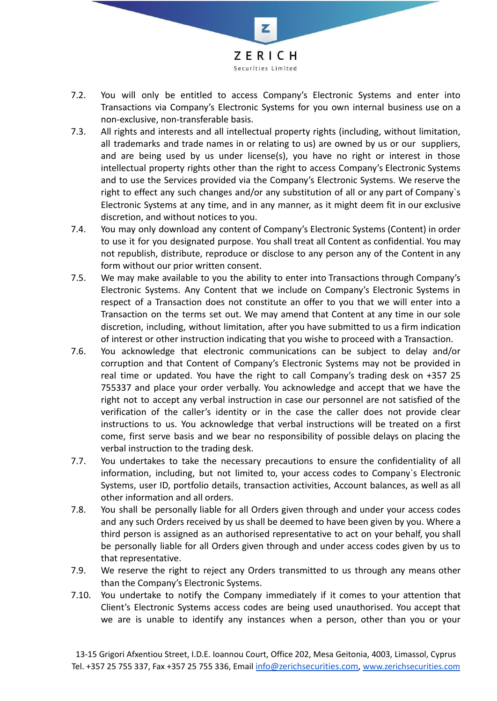

- 7.2. You will only be entitled to access Company's Electronic Systems and enter into Transactions via Company's Electronic Systems for you own internal business use on a non-exclusive, non-transferable basis.
- 7.3. All rights and interests and all intellectual property rights (including, without limitation, all trademarks and trade names in or relating to us) are owned by us or our suppliers, and are being used by us under license(s), you have no right or interest in those intellectual property rights other than the right to access Company's Electronic Systems and to use the Services provided via the Company's Electronic Systems. We reserve the right to effect any such changes and/or any substitution of all or any part of Company`s Electronic Systems at any time, and in any manner, as it might deem fit in our exclusive discretion, and without notices to you.
- 7.4. You may only download any content of Company's Electronic Systems (Content) in order to use it for you designated purpose. You shall treat all Content as confidential. You may not republish, distribute, reproduce or disclose to any person any of the Content in any form without our prior written consent.
- 7.5. We may make available to you the ability to enter into Transactions through Company's Electronic Systems. Any Content that we include on Company's Electronic Systems in respect of a Transaction does not constitute an offer to you that we will enter into a Transaction on the terms set out. We may amend that Content at any time in our sole discretion, including, without limitation, after you have submitted to us a firm indication of interest or other instruction indicating that you wishe to proceed with a Transaction.
- 7.6. You acknowledge that electronic communications can be subject to delay and/or corruption and that Content of Company's Electronic Systems may not be provided in real time or updated. You have the right to call Company's trading desk on +357 25 755337 and place your order verbally. You acknowledge and accept that we have the right not to accept any verbal instruction in case our personnel are not satisfied of the verification of the caller's identity or in the case the caller does not provide clear instructions to us. You acknowledge that verbal instructions will be treated on a first come, first serve basis and we bear no responsibility of possible delays on placing the verbal instruction to the trading desk.
- 7.7. You undertakes to take the necessary precautions to ensure the confidentiality of all information, including, but not limited to, your access codes to Company`s Electronic Systems, user ID, portfolio details, transaction activities, Account balances, as well as all other information and all orders.
- 7.8. You shall be personally liable for all Orders given through and under your access codes and any such Orders received by us shall be deemed to have been given by you. Where a third person is assigned as an authorised representative to act on your behalf, you shall be personally liable for all Orders given through and under access codes given by us to that representative.
- 7.9. We reserve the right to reject any Orders transmitted to us through any means other than the Company's Electronic Systems.
- 7.10. You undertake to notify the Company immediately if it comes to your attention that Client's Electronic Systems access codes are being used unauthorised. You accept that we are is unable to identify any instances when a person, other than you or your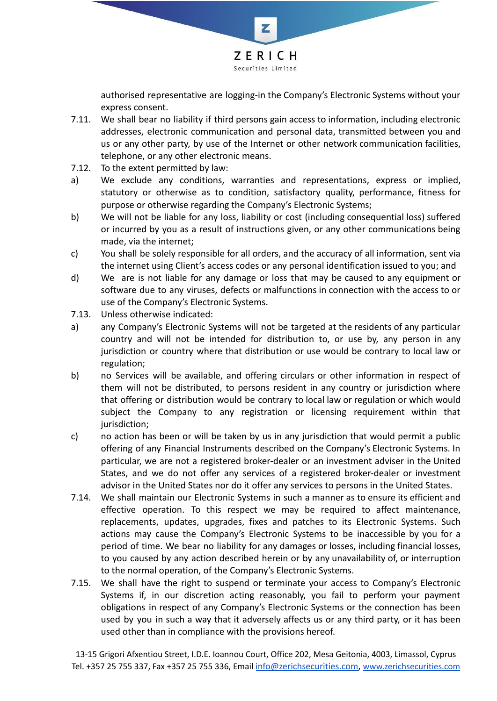

authorised representative are logging-in the Company's Electronic Systems without your express consent.

- 7.11. We shall bear no liability if third persons gain access to information, including electronic addresses, electronic communication and personal data, transmitted between you and us or any other party, by use of the Internet or other network communication facilities, telephone, or any other electronic means.
- 7.12. To the extent permitted by law:
- a) We exclude any conditions, warranties and representations, express or implied, statutory or otherwise as to condition, satisfactory quality, performance, fitness for purpose or otherwise regarding the Company's Electronic Systems;
- b) We will not be liable for any loss, liability or cost (including consequential loss) suffered or incurred by you as a result of instructions given, or any other communications being made, via the internet;
- c) You shall be solely responsible for all orders, and the accuracy of all information, sent via the internet using Client's access codes or any personal identification issued to you; and
- d) We are is not liable for any damage or loss that may be caused to any equipment or software due to any viruses, defects or malfunctions in connection with the access to or use of the Company's Electronic Systems.
- 7.13. Unless otherwise indicated:
- a) any Company's Electronic Systems will not be targeted at the residents of any particular country and will not be intended for distribution to, or use by, any person in any jurisdiction or country where that distribution or use would be contrary to local law or regulation;
- b) no Services will be available, and offering circulars or other information in respect of them will not be distributed, to persons resident in any country or jurisdiction where that offering or distribution would be contrary to local law or regulation or which would subject the Company to any registration or licensing requirement within that jurisdiction;
- c) no action has been or will be taken by us in any jurisdiction that would permit a public offering of any Financial Instruments described on the Company's Electronic Systems. In particular, we are not a registered broker-dealer or an investment adviser in the United States, and we do not offer any services of a registered broker-dealer or investment advisor in the United States nor do it offer any services to persons in the United States.
- 7.14. We shall maintain our Electronic Systems in such a manner as to ensure its efficient and effective operation. To this respect we may be required to affect maintenance, replacements, updates, upgrades, fixes and patches to its Electronic Systems. Such actions may cause the Company's Electronic Systems to be inaccessible by you for a period of time. We bear no liability for any damages or losses, including financial losses, to you caused by any action described herein or by any unavailability of, or interruption to the normal operation, of the Company's Electronic Systems.
- 7.15. We shall have the right to suspend or terminate your access to Company's Electronic Systems if, in our discretion acting reasonably, you fail to perform your payment obligations in respect of any Company's Electronic Systems or the connection has been used by you in such a way that it adversely affects us or any third party, or it has been used other than in compliance with the provisions hereof.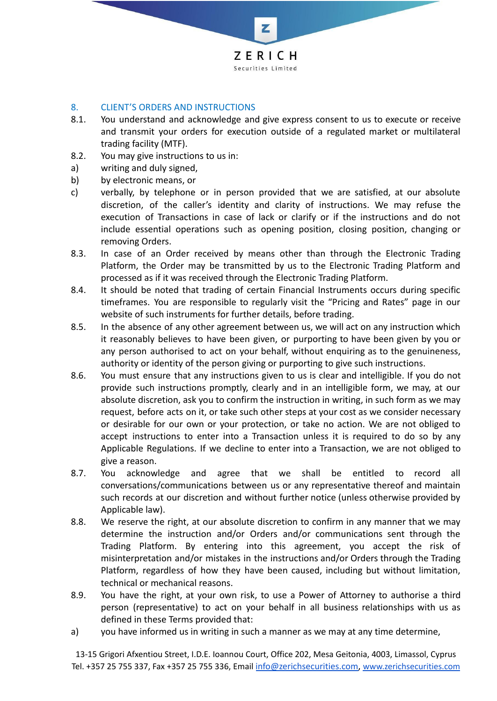

# 8. CLIENT'S ORDERS AND INSTRUCTIONS

- 8.1. You understand and acknowledge and give express consent to us to execute or receive and transmit your orders for execution outside of a regulated market or multilateral trading facility (MTF).
- 8.2. You may give instructions to us in:
- a) writing and duly signed,
- b) by electronic means, or
- c) verbally, by telephone or in person provided that we are satisfied, at our absolute discretion, of the caller's identity and clarity of instructions. We may refuse the execution of Transactions in case of lack or clarify or if the instructions and do not include essential operations such as opening position, closing position, changing or removing Orders.
- 8.3. In case of an Order received by means other than through the Electronic Trading Platform, the Order may be transmitted by us to the Electronic Trading Platform and processed as if it was received through the Electronic Trading Platform.
- 8.4. It should be noted that trading of certain Financial Instruments occurs during specific timeframes. You are responsible to regularly visit the "Pricing and Rates" page in our website of such instruments for further details, before trading.
- 8.5. In the absence of any other agreement between us, we will act on any instruction which it reasonably believes to have been given, or purporting to have been given by you or any person authorised to act on your behalf, without enquiring as to the genuineness, authority or identity of the person giving or purporting to give such instructions.
- 8.6. You must ensure that any instructions given to us is clear and intelligible. If you do not provide such instructions promptly, clearly and in an intelligible form, we may, at our absolute discretion, ask you to confirm the instruction in writing, in such form as we may request, before acts on it, or take such other steps at your cost as we consider necessary or desirable for our own or your protection, or take no action. We are not obliged to accept instructions to enter into a Transaction unless it is required to do so by any Applicable Regulations. If we decline to enter into a Transaction, we are not obliged to give a reason.
- 8.7. You acknowledge and agree that we shall be entitled to record all conversations/communications between us or any representative thereof and maintain such records at our discretion and without further notice (unless otherwise provided by Applicable law).
- 8.8. We reserve the right, at our absolute discretion to confirm in any manner that we may determine the instruction and/or Orders and/or communications sent through the Trading Platform. By entering into this agreement, you accept the risk of misinterpretation and/or mistakes in the instructions and/or Orders through the Trading Platform, regardless of how they have been caused, including but without limitation, technical or mechanical reasons.
- 8.9. You have the right, at your own risk, to use a Power of Attorney to authorise a third person (representative) to act on your behalf in all business relationships with us as defined in these Terms provided that:
- a) you have informed us in writing in such a manner as we may at any time determine,

13-15 Grigori Afxentiou Street, I.D.E. Ioannou Court, Office 202, Mesa Geitonia, 4003, Limassol, Cyprus Tel. +357 25 755 337, Fax +357 25 755 336, Email [info@zerichsecurities.com](mailto:info@zerichsecurities.com), [www.zerichsecurities.com](https://www.zerichsecurities.com/)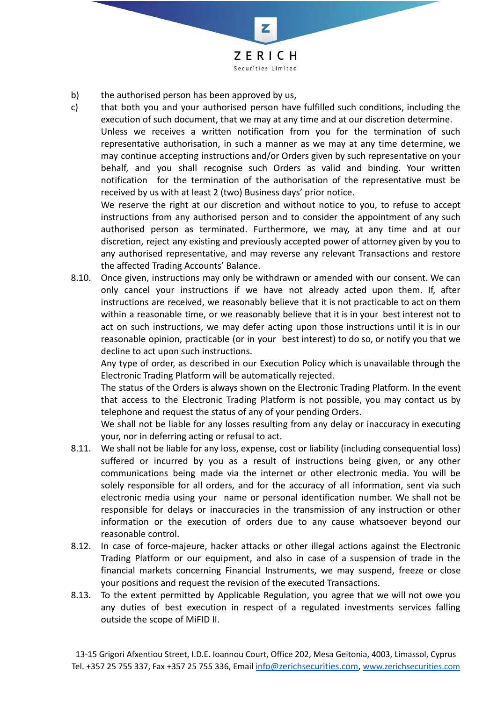

- b) the authorised person has been approved by us,
- c) that both you and your authorised person have fulfilled such conditions, including the execution of such document, that we may at any time and at our discretion determine.

Unless we receives a written notification from you for the termination of such representative authorisation, in such a manner as we may at any time determine, we may continue accepting instructions and/or Orders given by such representative on your behalf, and you shall recognise such Orders as valid and binding. Your written notification for the termination of the authorisation of the representative must be received by us with at least 2 (two) Business days' prior notice.

We reserve the right at our discretion and without notice to you, to refuse to accept instructions from any authorised person and to consider the appointment of any such authorised person as terminated. Furthermore, we may, at any time and at our discretion, reject any existing and previously accepted power of attorney given by you to any authorised representative, and may reverse any relevant Transactions and restore the affected Trading Accounts' Balance.

8.10. Once given, instructions may only be withdrawn or amended with our consent. We can only cancel your instructions if we have not already acted upon them. If, after instructions are received, we reasonably believe that it is not practicable to act on them within a reasonable time, or we reasonably believe that it is in your best interest not to act on such instructions, we may defer acting upon those instructions until it is in our reasonable opinion, practicable (or in your best interest) to do so, or notify you that we decline to act upon such instructions.

Any type of order, as described in our Execution Policy which is unavailable through the Electronic Trading Platform will be automatically rejected.

The status of the Orders is always shown on the Electronic Trading Platform. In the event that access to the Electronic Trading Platform is not possible, you may contact us by telephone and request the status of any of your pending Orders.

We shall not be liable for any losses resulting from any delay or inaccuracy in executing your, nor in deferring acting or refusal to act.

- 8.11. We shall not be liable for any loss, expense, cost or liability (including consequential loss) suffered or incurred by you as a result of instructions being given, or any other communications being made via the internet or other electronic media. You will be solely responsible for all orders, and for the accuracy of all information, sent via such electronic media using your name or personal identification number. We shall not be responsible for delays or inaccuracies in the transmission of any instruction or other information or the execution of orders due to any cause whatsoever beyond our reasonable control.
- 8.12. In case of force-majeure, hacker attacks or other illegal actions against the Electronic Trading Platform or our equipment, and also in case of a suspension of trade in the financial markets concerning Financial Instruments, we may suspend, freeze or close your positions and request the revision of the executed Transactions.
- 8.13. To the extent permitted by Applicable Regulation, you agree that we will not owe you any duties of best execution in respect of a regulated investments services falling outside the scope of MiFID II.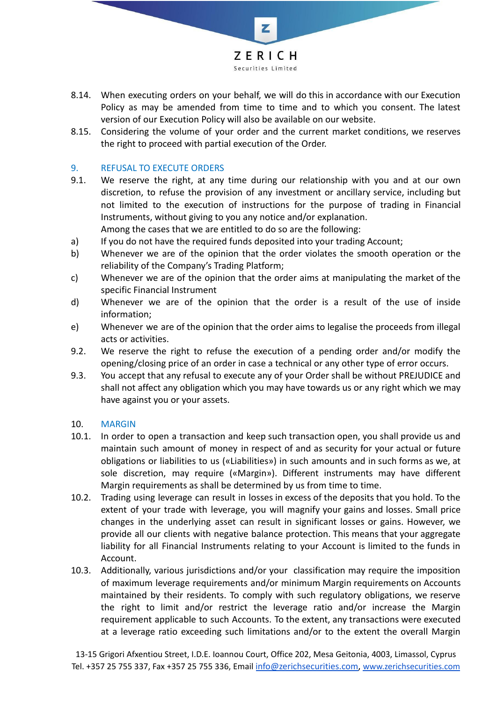

- 8.14. When executing orders on your behalf, we will do this in accordance with our Execution Policy as may be amended from time to time and to which you consent. The latest version of our Execution Policy will also be available on our website.
- 8.15. Considering the volume of your order and the current market conditions, we reserves the right to proceed with partial execution of the Order.

# 9. REFUSAL TO EXECUTE ORDERS

- 9.1. We reserve the right, at any time during our relationship with you and at our own discretion, to refuse the provision of any investment or ancillary service, including but not limited to the execution of instructions for the purpose of trading in Financial Instruments, without giving to you any notice and/or explanation. Among the cases that we are entitled to do so are the following:
- a) If you do not have the required funds deposited into your trading Account;
- b) Whenever we are of the opinion that the order violates the smooth operation or the reliability of the Company's Trading Platform;
- c) Whenever we are of the opinion that the order aims at manipulating the market of the specific Financial Instrument
- d) Whenever we are of the opinion that the order is a result of the use of inside information;
- e) Whenever we are of the opinion that the order aims to legalise the proceeds from illegal acts or activities.
- 9.2. We reserve the right to refuse the execution of a pending order and/or modify the opening/closing price of an order in case a technical or any other type of error occurs.
- 9.3. You accept that any refusal to execute any of your Order shall be without PREJUDICE and shall not affect any obligation which you may have towards us or any right which we may have against you or your assets.

#### 10. MARGIN

- 10.1. In order to open a transaction and keep such transaction open, you shall provide us and maintain such amount of money in respect of and as security for your actual or future obligations or liabilities to us («Liabilities») in such amounts and in such forms as we, at sole discretion, may require («Margin»). Different instruments may have different Margin requirements as shall be determined by us from time to time.
- 10.2. Trading using leverage can result in losses in excess of the deposits that you hold. To the extent of your trade with leverage, you will magnify your gains and losses. Small price changes in the underlying asset can result in significant losses or gains. However, we provide all our clients with negative balance protection. This means that your aggregate liability for all Financial Instruments relating to your Account is limited to the funds in Account.
- 10.3. Additionally, various jurisdictions and/or your classification may require the imposition of maximum leverage requirements and/or minimum Margin requirements on Accounts maintained by their residents. To comply with such regulatory obligations, we reserve the right to limit and/or restrict the leverage ratio and/or increase the Margin requirement applicable to such Accounts. To the extent, any transactions were executed at a leverage ratio exceeding such limitations and/or to the extent the overall Margin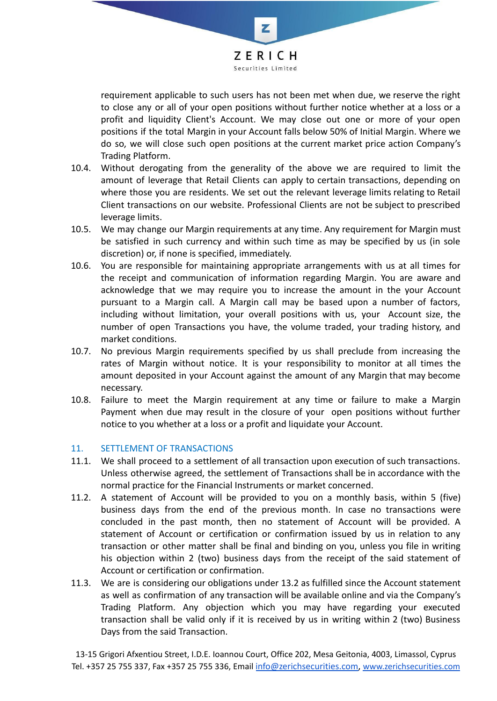

requirement applicable to such users has not been met when due, we reserve the right to close any or all of your open positions without further notice whether at a loss or a profit and liquidity Client's Account. We may close out one or more of your open positions if the total Margin in your Account falls below 50% of Initial Margin. Where we do so, we will close such open positions at the current market price action Company's Trading Platform.

- 10.4. Without derogating from the generality of the above we are required to limit the amount of leverage that Retail Clients can apply to certain transactions, depending on where those you are residents. We set out the relevant leverage limits relating to Retail Client transactions on our website. Professional Clients are not be subject to prescribed leverage limits.
- 10.5. We may change our Margin requirements at any time. Any requirement for Margin must be satisfied in such currency and within such time as may be specified by us (in sole discretion) or, if none is specified, immediately.
- 10.6. You are responsible for maintaining appropriate arrangements with us at all times for the receipt and communication of information regarding Margin. You are aware and acknowledge that we may require you to increase the amount in the your Account pursuant to a Margin call. A Margin call may be based upon a number of factors, including without limitation, your overall positions with us, your Account size, the number of open Transactions you have, the volume traded, your trading history, and market conditions.
- 10.7. No previous Margin requirements specified by us shall preclude from increasing the rates of Margin without notice. It is your responsibility to monitor at all times the amount deposited in your Account against the amount of any Margin that may become necessary.
- 10.8. Failure to meet the Margin requirement at any time or failure to make a Margin Payment when due may result in the closure of your open positions without further notice to you whether at a loss or a profit and liquidate your Account.

# 11. SETTLEMENT OF TRANSACTIONS

- 11.1. We shall proceed to a settlement of all transaction upon execution of such transactions. Unless otherwise agreed, the settlement of Transactions shall be in accordance with the normal practice for the Financial Instruments or market concerned.
- 11.2. A statement of Account will be provided to you on a monthly basis, within 5 (five) business days from the end of the previous month. In case no transactions were concluded in the past month, then no statement of Account will be provided. A statement of Account or certification or confirmation issued by us in relation to any transaction or other matter shall be final and binding on you, unless you file in writing his objection within 2 (two) business days from the receipt of the said statement of Account or certification or confirmation.
- 11.3. We are is considering our obligations under 13.2 as fulfilled since the Account statement as well as confirmation of any transaction will be available online and via the Company's Trading Platform. Any objection which you may have regarding your executed transaction shall be valid only if it is received by us in writing within 2 (two) Business Days from the said Transaction.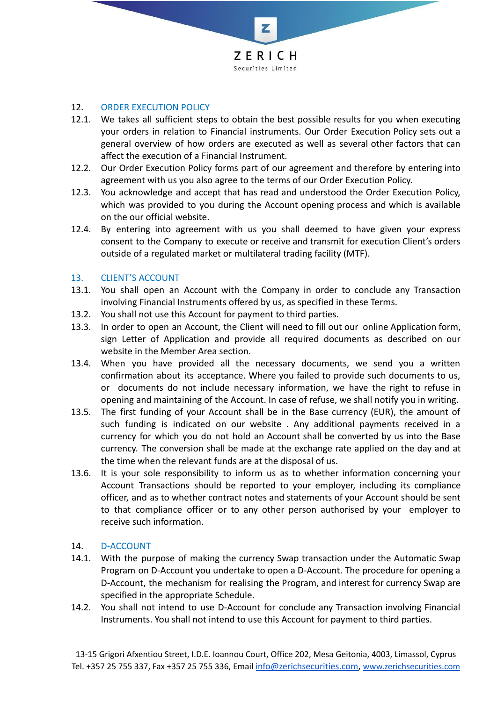

# 12. ORDER EXECUTION POLICY

- 12.1. We takes all sufficient steps to obtain the best possible results for you when executing your orders in relation to Financial instruments. Our Order Execution Policy sets out a general overview of how orders are executed as well as several other factors that can affect the execution of a Financial Instrument.
- 12.2. Our Order Execution Policy forms part of our agreement and therefore by entering into agreement with us you also agree to the terms of our Order Execution Policy.
- 12.3. You acknowledge and accept that has read and understood the Order Execution Policy, which was provided to you during the Account opening process and which is available on the our official website.
- 12.4. By entering into agreement with us you shall deemed to have given your express consent to the Company to execute or receive and transmit for execution Client's orders outside of a regulated market or multilateral trading facility (MTF).

## 13. CLIENT'S ACCOUNT

- 13.1. You shall open an Account with the Company in order to conclude any Transaction involving Financial Instruments offered by us, as specified in these Terms.
- 13.2. You shall not use this Account for payment to third parties.
- 13.3. In order to open an Account, the Client will need to fill out our online Application form, sign Letter of Application and provide all required documents as described on our website in the Member Area section.
- 13.4. When you have provided all the necessary documents, we send you a written confirmation about its acceptance. Where you failed to provide such documents to us, or documents do not include necessary information, we have the right to refuse in opening and maintaining of the Account. In case of refuse, we shall notify you in writing.
- 13.5. The first funding of your Account shall be in the Base currency (EUR), the amount of such funding is indicated on our website . Any additional payments received in a currency for which you do not hold an Account shall be converted by us into the Base currency. The conversion shall be made at the exchange rate applied on the day and at the time when the relevant funds are at the disposal of us.
- 13.6. It is your sole responsibility to inform us as to whether information concerning your Account Transactions should be reported to your employer, including its compliance officer, and as to whether contract notes and statements of your Account should be sent to that compliance officer or to any other person authorised by your employer to receive such information.

#### 14. D-ACCOUNT

- 14.1. With the purpose of making the currency Swap transaction under the Automatic Swap Program on D-Account you undertake to open a D-Account. The procedure for opening a D-Account, the mechanism for realising the Program, and interest for currency Swap are specified in the appropriate Schedule.
- 14.2. You shall not intend to use D-Account for conclude any Transaction involving Financial Instruments. You shall not intend to use this Account for payment to third parties.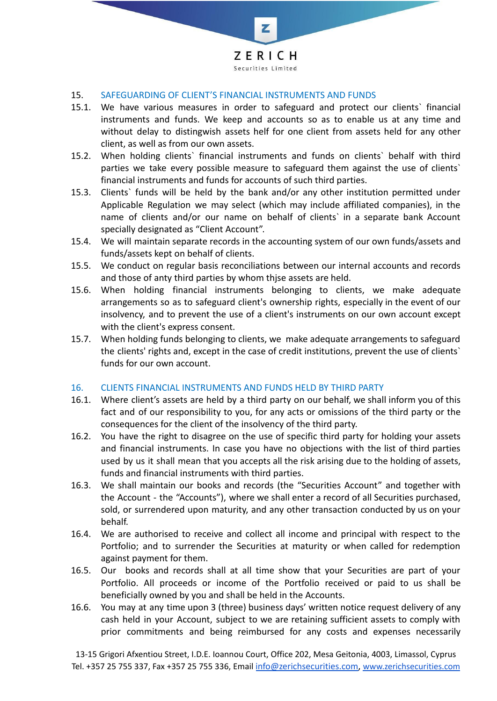

#### 15. SAFEGUARDING OF CLIENT'S FINANCIAL INSTRUMENTS AND FUNDS

- 15.1. We have various measures in order to safeguard and protect our clients` financial instruments and funds. We keep and accounts so as to enable us at any time and without delay to distingwish assets helf for one client from assets held for any other client, as well as from our own assets.
- 15.2. When holding clients` financial instruments and funds on clients` behalf with third parties we take every possible measure to safeguard them against the use of clients` financial instruments and funds for accounts of such third parties.
- 15.3. Clients` funds will be held by the bank and/or any other institution permitted under Applicable Regulation we may select (which may include affiliated companies), in the name of clients and/or our name on behalf of clients` in a separate bank Account specially designated as "Client Account".
- 15.4. We will maintain separate records in the accounting system of our own funds/assets and funds/assets kept on behalf of clients.
- 15.5. We conduct on regular basis reconciliations between our internal accounts and records and those of anty third parties by whom thjse assets are held.
- 15.6. When holding financial instruments belonging to clients, we make adequate arrangements so as to safeguard client's ownership rights, especially in the event of our insolvency, and to prevent the use of a client's instruments on our own account except with the client's express consent.
- 15.7. When holding funds belonging to clients, we make adequate arrangements to safeguard the clients' rights and, except in the case of credit institutions, prevent the use of clients` funds for our own account.

#### 16. CLIENTS FINANCIAL INSTRUMENTS AND FUNDS HELD BY THIRD PARTY

- 16.1. Where client's assets are held by a third party on our behalf, we shall inform you of this fact and of our responsibility to you, for any acts or omissions of the third party or the consequences for the client of the insolvency of the third party.
- 16.2. You have the right to disagree on the use of specific third party for holding your assets and financial instruments. In case you have no objections with the list of third parties used by us it shall mean that you accepts all the risk arising due to the holding of assets, funds and financial instruments with third parties.
- 16.3. We shall maintain our books and records (the "Securities Account" and together with the Account - the "Accounts"), where we shall enter a record of all Securities purchased, sold, or surrendered upon maturity, and any other transaction conducted by us on your behalf.
- 16.4. We are authorised to receive and collect all income and principal with respect to the Portfolio; and to surrender the Securities at maturity or when called for redemption against payment for them.
- 16.5. Our books and records shall at all time show that your Securities are part of your Portfolio. All proceeds or income of the Portfolio received or paid to us shall be beneficially owned by you and shall be held in the Accounts.
- 16.6. You may at any time upon 3 (three) business days' written notice request delivery of any cash held in your Account, subject to we are retaining sufficient assets to comply with prior commitments and being reimbursed for any costs and expenses necessarily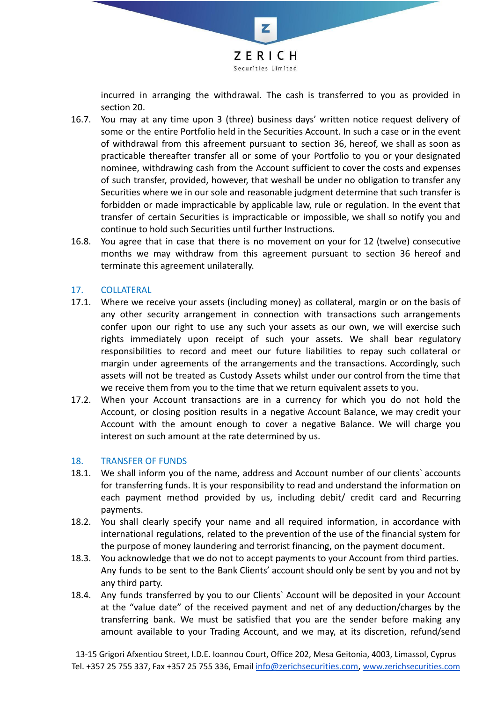

incurred in arranging the withdrawal. The cash is transferred to you as provided in section 20.

- 16.7. You may at any time upon 3 (three) business days' written notice request delivery of some or the entire Portfolio held in the Securities Account. In such a case or in the event of withdrawal from this afreement pursuant to section 36, hereof, we shall as soon as practicable thereafter transfer all or some of your Portfolio to you or your designated nominee, withdrawing cash from the Account sufficient to cover the costs and expenses of such transfer, provided, however, that weshall be under no obligation to transfer any Securities where we in our sole and reasonable judgment determine that such transfer is forbidden or made impracticable by applicable law, rule or regulation. In the event that transfer of certain Securities is impracticable or impossible, we shall so notify you and continue to hold such Securities until further Instructions.
- 16.8. You agree that in case that there is no movement on your for 12 (twelve) consecutive months we may withdraw from this agreement pursuant to section 36 hereof and terminate this agreement unilaterally.

## 17. COLLATERAL

- 17.1. Where we receive your assets (including money) as collateral, margin or on the basis of any other security arrangement in connection with transactions such arrangements confer upon our right to use any such your assets as our own, we will exercise such rights immediately upon receipt of such your assets. We shall bear regulatory responsibilities to record and meet our future liabilities to repay such collateral or margin under agreements of the arrangements and the transactions. Accordingly, such assets will not be treated as Custody Assets whilst under our control from the time that we receive them from you to the time that we return equivalent assets to you.
- 17.2. When your Account transactions are in a currency for which you do not hold the Account, or closing position results in a negative Account Balance, we may credit your Account with the amount enough to cover a negative Balance. We will charge you interest on such amount at the rate determined by us.

#### 18. TRANSFER OF FUNDS

- 18.1. We shall inform you of the name, address and Account number of our clients` accounts for transferring funds. It is your responsibility to read and understand the information on each payment method provided by us, including debit/ credit card and Recurring payments.
- 18.2. You shall clearly specify your name and all required information, in accordance with international regulations, related to the prevention of the use of the financial system for the purpose of money laundering and terrorist financing, on the payment document.
- 18.3. You acknowledge that we do not to accept payments to your Account from third parties. Any funds to be sent to the Bank Clients' account should only be sent by you and not by any third party.
- 18.4. Any funds transferred by you to our Clients` Account will be deposited in your Account at the "value date" of the received payment and net of any deduction/charges by the transferring bank. We must be satisfied that you are the sender before making any amount available to your Trading Account, and we may, at its discretion, refund/send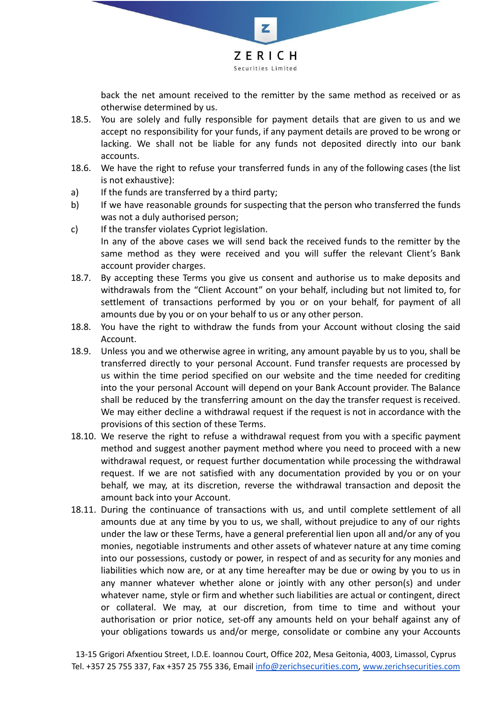

back the net amount received to the remitter by the same method as received or as otherwise determined by us.

- 18.5. You are solely and fully responsible for payment details that are given to us and we accept no responsibility for your funds, if any payment details are proved to be wrong or lacking. We shall not be liable for any funds not deposited directly into our bank accounts.
- 18.6. We have the right to refuse your transferred funds in any of the following cases (the list is not exhaustive):
- a) If the funds are transferred by a third party;
- b) If we have reasonable grounds for suspecting that the person who transferred the funds was not a duly authorised person;
- c) If the transfer violates Cypriot legislation. In any of the above cases we will send back the received funds to the remitter by the same method as they were received and you will suffer the relevant Client's Bank account provider charges.
- 18.7. By accepting these Terms you give us consent and authorise us to make deposits and withdrawals from the "Client Account" on your behalf, including but not limited to, for settlement of transactions performed by you or on your behalf, for payment of all amounts due by you or on your behalf to us or any other person.
- 18.8. You have the right to withdraw the funds from your Account without closing the said Account.
- 18.9. Unless you and we otherwise agree in writing, any amount payable by us to you, shall be transferred directly to your personal Account. Fund transfer requests are processed by us within the time period specified on our website and the time needed for crediting into the your personal Account will depend on your Bank Account provider. The Balance shall be reduced by the transferring amount on the day the transfer request is received. We may either decline a withdrawal request if the request is not in accordance with the provisions of this section of these Terms.
- 18.10. We reserve the right to refuse a withdrawal request from you with a specific payment method and suggest another payment method where you need to proceed with a new withdrawal request, or request further documentation while processing the withdrawal request. If we are not satisfied with any documentation provided by you or on your behalf, we may, at its discretion, reverse the withdrawal transaction and deposit the amount back into your Account.
- 18.11. During the continuance of transactions with us, and until complete settlement of all amounts due at any time by you to us, we shall, without prejudice to any of our rights under the law or these Terms, have a general preferential lien upon all and/or any of you monies, negotiable instruments and other assets of whatever nature at any time coming into our possessions, custody or power, in respect of and as security for any monies and liabilities which now are, or at any time hereafter may be due or owing by you to us in any manner whatever whether alone or jointly with any other person(s) and under whatever name, style or firm and whether such liabilities are actual or contingent, direct or collateral. We may, at our discretion, from time to time and without your authorisation or prior notice, set-off any amounts held on your behalf against any of your obligations towards us and/or merge, consolidate or combine any your Accounts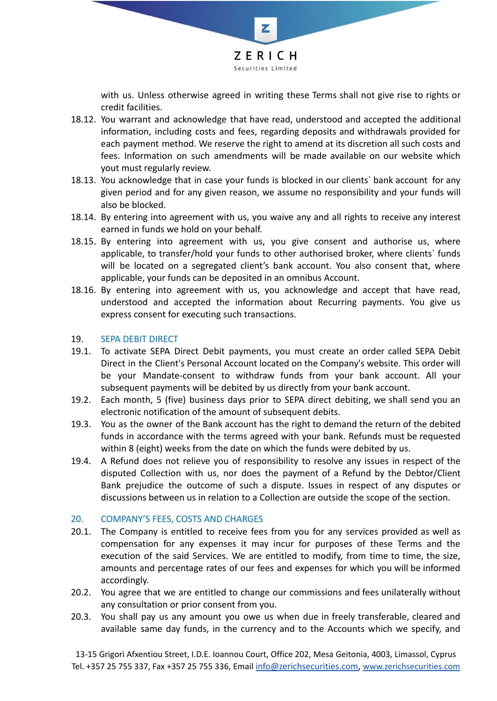

with us. Unless otherwise agreed in writing these Terms shall not give rise to rights or credit facilities.

- 18.12. You warrant and acknowledge that have read, understood and accepted the additional information, including costs and fees, regarding deposits and withdrawals provided for each payment method. We reserve the right to amend at its discretion all such costs and fees. Information on such amendments will be made available on our website which yout must regularly review.
- 18.13. You acknowledge that in case your funds is blocked in our clients` bank account for any given period and for any given reason, we assume no responsibility and your funds will also be blocked.
- 18.14. By entering into agreement with us, you waive any and all rights to receive any interest earned in funds we hold on your behalf.
- 18.15. By entering into agreement with us, you give consent and authorise us, where applicable, to transfer/hold your funds to other authorised broker, where clients` funds will be located on a segregated client's bank account. You also consent that, where applicable, your funds can be deposited in an omnibus Account.
- 18.16. By entering into agreement with us, you acknowledge and accept that have read, understood and accepted the information about Recurring payments. You give us express consent for executing such transactions.

## 19. SEPA DEBIT DIRECT

- 19.1. To activate SEPA Direct Debit payments, you must create an order called SEPA Debit Direct in the Client's Personal Account located on the Company's website. This order will be your Mandate-consent to withdraw funds from your bank account. All your subsequent payments will be debited by us directly from your bank account.
- 19.2. Each month, 5 (five) business days prior to SEPA direct debiting, we shall send you an electronic notification of the amount of subsequent debits.
- 19.3. You as the owner of the Bank account has the right to demand the return of the debited funds in accordance with the terms agreed with your bank. Refunds must be requested within 8 (eight) weeks from the date on which the funds were debited by us.
- 19.4. A Refund does not relieve you of responsibility to resolve any issues in respect of the disputed Collection with us, nor does the payment of a Refund by the Debtor/Client Bank prejudice the outcome of such a dispute. Issues in respect of any disputes or discussions between us in relation to a Collection are outside the scope of the section.

# 20. COMPANY'S FEES, COSTS AND CHARGES

- 20.1. The Company is entitled to receive fees from you for any services provided as well as compensation for any expenses it may incur for purposes of these Terms and the execution of the said Services. We are entitled to modify, from time to time, the size, amounts and percentage rates of our fees and expenses for which you will be informed accordingly.
- 20.2. You agree that we are entitled to change our commissions and fees unilaterally without any consultation or prior consent from you.
- 20.3. You shall pay us any amount you owe us when due in freely transferable, cleared and available same day funds, in the currency and to the Accounts which we specify, and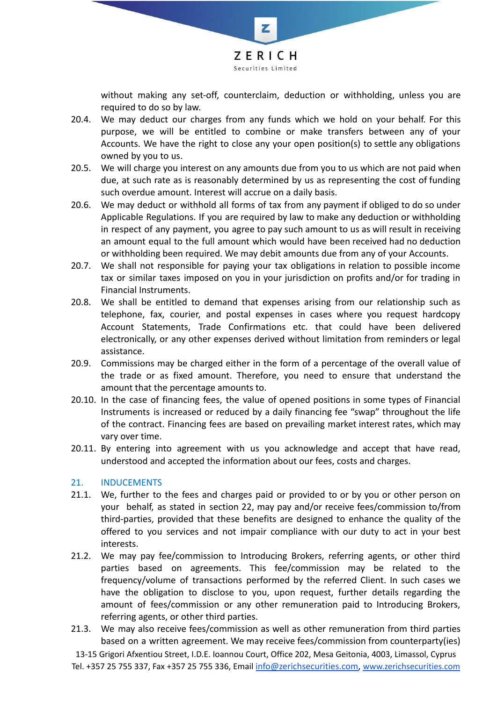

without making any set-off, counterclaim, deduction or withholding, unless you are required to do so by law.

- 20.4. We may deduct our charges from any funds which we hold on your behalf. For this purpose, we will be entitled to combine or make transfers between any of your Accounts. We have the right to close any your open position(s) to settle any obligations owned by you to us.
- 20.5. We will charge you interest on any amounts due from you to us which are not paid when due, at such rate as is reasonably determined by us as representing the cost of funding such overdue amount. Interest will accrue on a daily basis.
- 20.6. We may deduct or withhold all forms of tax from any payment if obliged to do so under Applicable Regulations. If you are required by law to make any deduction or withholding in respect of any payment, you agree to pay such amount to us as will result in receiving an amount equal to the full amount which would have been received had no deduction or withholding been required. We may debit amounts due from any of your Accounts.
- 20.7. We shall not responsible for paying your tax obligations in relation to possible income tax or similar taxes imposed on you in your jurisdiction on profits and/or for trading in Financial Instruments.
- 20.8. We shall be entitled to demand that expenses arising from our relationship such as telephone, fax, courier, and postal expenses in cases where you request hardcopy Account Statements, Trade Confirmations etc. that could have been delivered electronically, or any other expenses derived without limitation from reminders or legal assistance.
- 20.9. Commissions may be charged either in the form of a percentage of the overall value of the trade or as fixed amount. Therefore, you need to ensure that understand the amount that the percentage amounts to.
- 20.10. In the case of financing fees, the value of opened positions in some types of Financial Instruments is increased or reduced by a daily financing fee "swap" throughout the life of the contract. Financing fees are based on prevailing market interest rates, which may vary over time.
- 20.11. By entering into agreement with us you acknowledge and accept that have read, understood and accepted the information about our fees, costs and charges.

# 21. INDUCEMENTS

- 21.1. We, further to the fees and charges paid or provided to or by you or other person on your behalf, as stated in section 22, may pay and/or receive fees/commission to/from third-parties, provided that these benefits are designed to enhance the quality of the offered to you services and not impair compliance with our duty to act in your best interests.
- 21.2. We may pay fee/commission to Introducing Brokers, referring agents, or other third parties based on agreements. This fee/commission may be related to the frequency/volume of transactions performed by the referred Client. In such cases we have the obligation to disclose to you, upon request, further details regarding the amount of fees/commission or any other remuneration paid to Introducing Brokers, referring agents, or other third parties.
- 21.3. We may also receive fees/commission as well as other remuneration from third parties based on a written agreement. We may receive fees/commission from counterparty(ies)

13-15 Grigori Afxentiou Street, I.D.E. Ioannou Court, Office 202, Mesa Geitonia, 4003, Limassol, Cyprus Tel. +357 25 755 337, Fax +357 25 755 336, Email [info@zerichsecurities.com](mailto:info@zerichsecurities.com), [www.zerichsecurities.com](https://www.zerichsecurities.com/)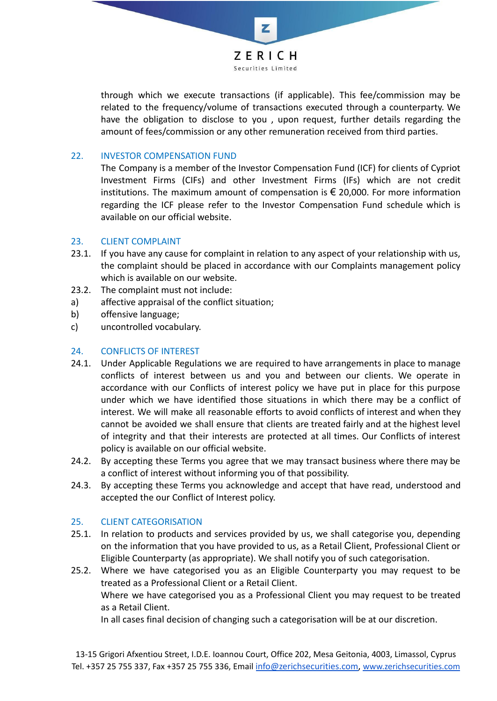

through which we execute transactions (if applicable). This fee/commission may be related to the frequency/volume of transactions executed through a counterparty. We have the obligation to disclose to you , upon request, further details regarding the amount of fees/commission or any other remuneration received from third parties.

# 22. INVESTOR COMPENSATION FUND

The Company is a member of the Investor Compensation Fund (ICF) for clients of Cypriot Investment Firms (CIFs) and other Investment Firms (IFs) which are not credit institutions. The maximum amount of compensation is  $\epsilon$  20,000. For more information regarding the ICF please refer to the Investor Compensation Fund schedule which is available on our official website.

#### 23. CLIENT COMPLAINT

- 23.1. If you have any cause for complaint in relation to any aspect of your relationship with us, the complaint should be placed in accordance with our Complaints management policy which is available on our website.
- 23.2. The complaint must not include:
- a) affective appraisal of the conflict situation;
- b) offensive language;
- c) uncontrolled vocabulary.

### 24. CONFLICTS OF INTEREST

- 24.1. Under Applicable Regulations we are required to have arrangements in place to manage conflicts of interest between us and you and between our clients. We operate in accordance with our Conflicts of interest policy we have put in place for this purpose under which we have identified those situations in which there may be a conflict of interest. We will make all reasonable efforts to avoid conflicts of interest and when they cannot be avoided we shall ensure that clients are treated fairly and at the highest level of integrity and that their interests are protected at all times. Our Conflicts of interest policy is available on our official website.
- 24.2. By accepting these Terms you agree that we may transact business where there may be a conflict of interest without informing you of that possibility.
- 24.3. By accepting these Terms you acknowledge and accept that have read, understood and accepted the our Conflict of Interest policy.

#### 25. CLIENT CATEGORISATION

- 25.1. In relation to products and services provided by us, we shall categorise you, depending on the information that you have provided to us, as a Retail Сlient, Professional Client or Eligible Counterparty (as appropriate). We shall notify you of such categorisation.
- 25.2. Where we have categorised you as an Eligible Counterparty you may request to be treated as a Professional Client or a Retail Client. Where we have categorised you as a Professional Client you may request to be treated as a Retail Client. In all cases final decision of changing such a categorisation will be at our discretion.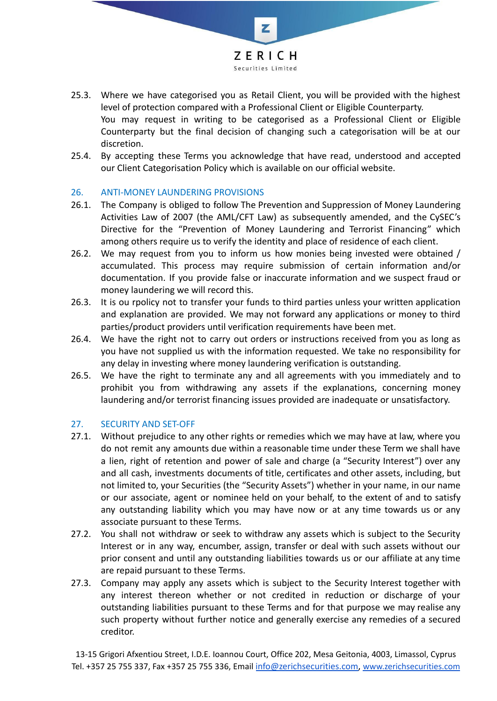

- 25.3. Where we have categorised you as Retail Client, you will be provided with the highest level of protection compared with a Professional Client or Eligible Counterparty. You may request in writing to be categorised as a Professional Client or Eligible Counterparty but the final decision of changing such a categorisation will be at our discretion.
- 25.4. By accepting these Terms you acknowledge that have read, understood and accepted our Client Categorisation Policy which is available on our official website.

## 26. ANTI-MONEY LAUNDERING PROVISIONS

- 26.1. The Company is obliged to follow The Prevention and Suppression of Money Laundering Activities Law of 2007 (the AML/CFT Law) as subsequently amended, and the CySEC's Directive for the "Prevention of Money Laundering and Terrorist Financing" which among others require us to verify the identity and place of residence of each client.
- 26.2. We may request from you to inform us how monies being invested were obtained / accumulated. This process may require submission of certain information and/or documentation. If you provide false or inaccurate information and we suspect fraud or money laundering we will record this.
- 26.3. It is ou rpolicy not to transfer your funds to third parties unless your written application and explanation are provided. We may not forward any applications or money to third parties/product providers until verification requirements have been met.
- 26.4. We have the right not to carry out orders or instructions received from you as long as you have not supplied us with the information requested. We take no responsibility for any delay in investing where money laundering verification is outstanding.
- 26.5. We have the right to terminate any and all agreements with you immediately and to prohibit you from withdrawing any assets if the explanations, concerning money laundering and/or terrorist financing issues provided are inadequate or unsatisfactory.

#### 27. SECURITY AND SET-OFF

- 27.1. Without prejudice to any other rights or remedies which we may have at law, where you do not remit any amounts due within a reasonable time under these Term we shall have a lien, right of retention and power of sale and charge (a "Security Interest") over any and all cash, investments documents of title, certificates and other assets, including, but not limited to, your Securities (the "Security Assets") whether in your name, in our name or our associate, agent or nominee held on your behalf, to the extent of and to satisfy any outstanding liability which you may have now or at any time towards us or any associate pursuant to these Terms.
- 27.2. You shall not withdraw or seek to withdraw any assets which is subject to the Security Interest or in any way, encumber, assign, transfer or deal with such assets without our prior consent and until any outstanding liabilities towards us or our affiliate at any time are repaid pursuant to these Terms.
- 27.3. Company may apply any assets which is subject to the Security Interest together with any interest thereon whether or not credited in reduction or discharge of your outstanding liabilities pursuant to these Terms and for that purpose we may realise any such property without further notice and generally exercise any remedies of a secured creditor.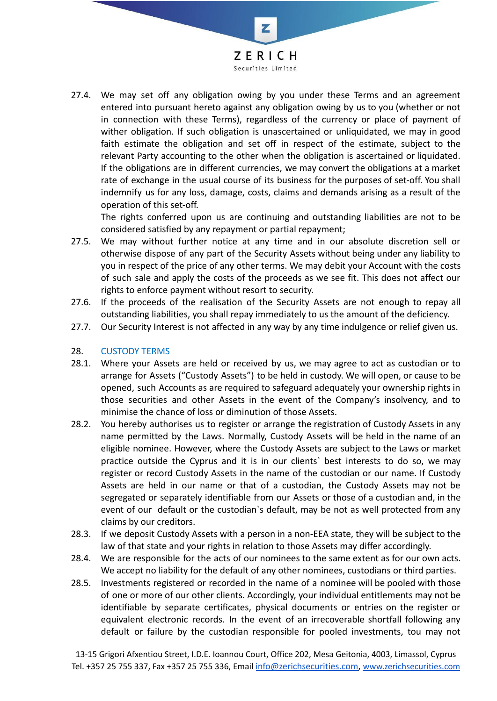

27.4. We may set off any obligation owing by you under these Terms and an agreement entered into pursuant hereto against any obligation owing by us to you (whether or not in connection with these Terms), regardless of the currency or place of payment of wither obligation. If such obligation is unascertained or unliquidated, we may in good faith estimate the obligation and set off in respect of the estimate, subject to the relevant Party accounting to the other when the obligation is ascertained or liquidated. If the obligations are in different currencies, we may convert the obligations at a market rate of exchange in the usual course of its business for the purposes of set-off. You shall indemnify us for any loss, damage, costs, claims and demands arising as a result of the operation of this set-off.

The rights conferred upon us are continuing and outstanding liabilities are not to be considered satisfied by any repayment or partial repayment;

- 27.5. We may without further notice at any time and in our absolute discretion sell or otherwise dispose of any part of the Security Assets without being under any liability to you in respect of the price of any other terms. We may debit your Account with the costs of such sale and apply the costs of the proceeds as we see fit. This does not affect our rights to enforce payment without resort to security.
- 27.6. If the proceeds of the realisation of the Security Assets are not enough to repay all outstanding liabilities, you shall repay immediately to us the amount of the deficiency.
- 27.7. Our Security Interest is not affected in any way by any time indulgence or relief given us.

# 28. CUSTODY TERMS

- 28.1. Where your Assets are held or received by us, we may agree to act as custodian or to arrange for Assets ("Custody Assets") to be held in custody. We will open, or cause to be opened, such Accounts as are required to safeguard adequately your ownership rights in those securities and other Assets in the event of the Company's insolvency, and to minimise the chance of loss or diminution of those Assets.
- 28.2. You hereby authorises us to register or arrange the registration of Custody Assets in any name permitted by the Laws. Normally, Custody Assets will be held in the name of an eligible nominee. However, where the Custody Assets are subject to the Laws or market practice outside the Cyprus and it is in our clients` best interests to do so, we may register or record Custody Assets in the name of the custodian or our name. If Custody Assets are held in our name or that of a custodian, the Custody Assets may not be segregated or separately identifiable from our Assets or those of a custodian and, in the event of our default or the custodian`s default, may be not as well protected from any claims by our creditors.
- 28.3. If we deposit Custody Assets with a person in a non-EEA state, they will be subject to the law of that state and your rights in relation to those Assets may differ accordingly.
- 28.4. We are responsible for the acts of our nominees to the same extent as for our own acts. We accept no liability for the default of any other nominees, custodians or third parties.
- 28.5. Investments registered or recorded in the name of a nominee will be pooled with those of one or more of our other clients. Accordingly, your individual entitlements may not be identifiable by separate certificates, physical documents or entries on the register or equivalent electronic records. In the event of an irrecoverable shortfall following any default or failure by the custodian responsible for pooled investments, tou may not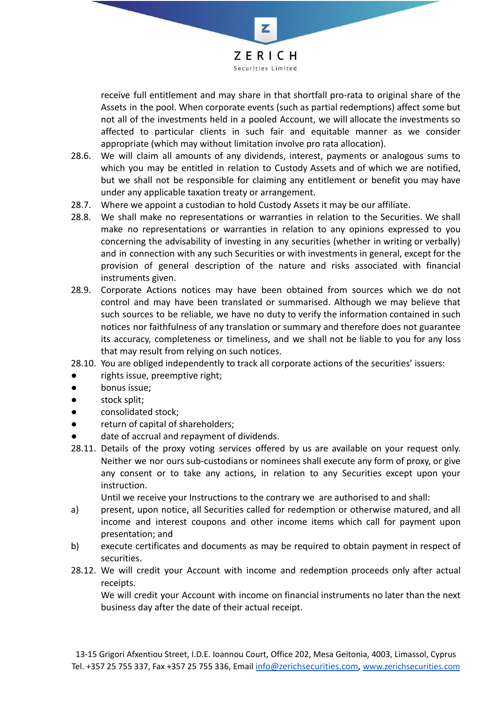

receive full entitlement and may share in that shortfall pro-rata to original share of the Assets in the pool. When corporate events (such as partial redemptions) affect some but not all of the investments held in a pooled Account, we will allocate the investments so affected to particular clients in such fair and equitable manner as we consider appropriate (which may without limitation involve pro rata allocation).

- 28.6. We will claim all amounts of any dividends, interest, payments or analogous sums to which you may be entitled in relation to Custody Assets and of which we are notified, but we shall not be responsible for claiming any entitlement or benefit you may have under any applicable taxation treaty or arrangement.
- 28.7. Where we appoint a custodian to hold Custody Assets it may be our affiliate.
- 28.8. We shall make no representations or warranties in relation to the Securities. We shall make no representations or warranties in relation to any opinions expressed to you concerning the advisability of investing in any securities (whether in writing or verbally) and in connection with any such Securities or with investments in general, except for the provision of general description of the nature and risks associated with financial instruments given.
- 28.9. Corporate Actions notices may have been obtained from sources which we do not control and may have been translated or summarised. Although we may believe that such sources to be reliable, we have no duty to verify the information contained in such notices nor faithfulness of any translation or summary and therefore does not guarantee its accuracy, completeness or timeliness, and we shall not be liable to you for any loss that may result from relying on such notices.
- 28.10. You are obliged independently to track all corporate actions of the securities' issuers:
- rights issue, preemptive right;
- bonus issue;
- stock split;
- consolidated stock;
- return of capital of shareholders;
- date of accrual and repayment of dividends.
- 28.11. Details of the proxy voting services offered by us are available on your request only. Neither we nor ours sub-custodians or nominees shall execute any form of proxy, or give any consent or to take any actions, in relation to any Securities except upon your instruction.

Until we receive your Instructions to the contrary we are authorised to and shall:

- a) present, upon notice, all Securities called for redemption or otherwise matured, and all income and interest coupons and other income items which call for payment upon presentation; and
- b) execute certificates and documents as may be required to obtain payment in respect of securities.
- 28.12. We will credit your Account with income and redemption proceeds only after actual receipts.

We will credit your Account with income on financial instruments no later than the next business day after the date of their actual receipt.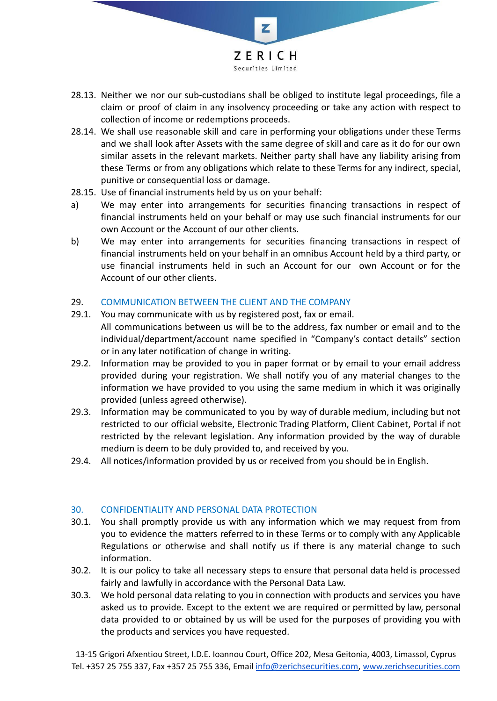

- 28.13. Neither we nor our sub-custodians shall be obliged to institute legal proceedings, file a claim or proof of claim in any insolvency proceeding or take any action with respect to collection of income or redemptions proceeds.
- 28.14. We shall use reasonable skill and care in performing your obligations under these Terms and we shall look after Assets with the same degree of skill and care as it do for our own similar assets in the relevant markets. Neither party shall have any liability arising from these Terms or from any obligations which relate to these Terms for any indirect, special, punitive or consequential loss or damage.
- 28.15. Use of financial instruments held by us on your behalf:
- a) We may enter into arrangements for securities financing transactions in respect of financial instruments held on your behalf or may use such financial instruments for our own Account or the Account of our other clients.
- b) We may enter into arrangements for securities financing transactions in respect of financial instruments held on your behalf in an omnibus Account held by a third party, or use financial instruments held in such an Account for our own Account or for the Account of our other clients.

## 29. COMMUNICATION BETWEEN THE CLIENT AND THE COMPANY

- 29.1. You may communicate with us by registered post, fax or email. All communications between us will be to the address, fax number or email and to the individual/department/account name specified in "Company's contact details" section or in any later notification of change in writing.
- 29.2. Information may be provided to you in paper format or by email to your email address provided during your registration. We shall notify you of any material changes to the information we have provided to you using the same medium in which it was originally provided (unless agreed otherwise).
- 29.3. Information may be communicated to you by way of durable medium, including but not restricted to our official website, Electronic Trading Platform, Client Cabinet, Portal if not restricted by the relevant legislation. Any information provided by the way of durable medium is deem to be duly provided to, and received by you.
- 29.4. All notices/information provided by us or received from you should be in English.

#### 30. CONFIDENTIALITY AND PERSONAL DATA PROTECTION

- 30.1. You shall promptly provide us with any information which we may request from from you to evidence the matters referred to in these Terms or to comply with any Applicable Regulations or otherwise and shall notify us if there is any material change to such information.
- 30.2. It is our policy to take all necessary steps to ensure that personal data held is processed fairly and lawfully in accordance with the Personal Data Law.
- 30.3. We hold personal data relating to you in connection with products and services you have asked us to provide. Except to the extent we are required or permitted by law, personal data provided to or obtained by us will be used for the purposes of providing you with the products and services you have requested.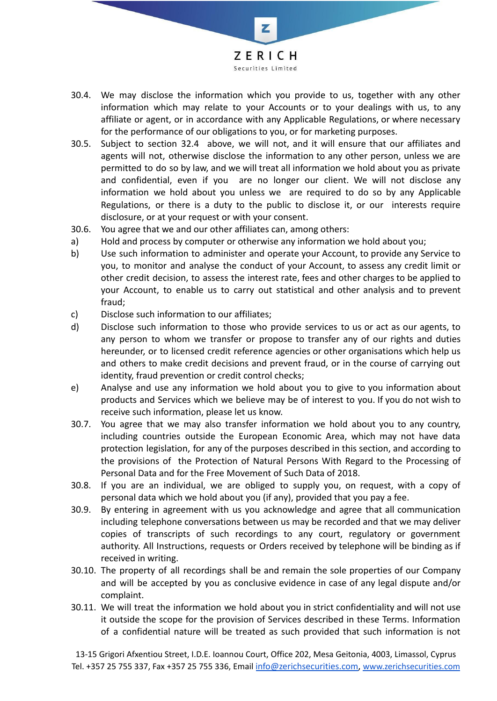

- 30.4. We may disclose the information which you provide to us, together with any other information which may relate to your Accounts or to your dealings with us, to any affiliate or agent, or in accordance with any Applicable Regulations, or where necessary for the performance of our obligations to you, or for marketing purposes.
- 30.5. Subject to section 32.4 above, we will not, and it will ensure that our affiliates and agents will not, otherwise disclose the information to any other person, unless we are permitted to do so by law, and we will treat all information we hold about you as private and confidential, even if you are no longer our client. We will not disclose any information we hold about you unless we are required to do so by any Applicable Regulations, or there is a duty to the public to disclose it, or our interests require disclosure, or at your request or with your consent.
- 30.6. You agree that we and our other affiliates can, among others:
- a) Hold and process by computer or otherwise any information we hold about you;
- b) Use such information to administer and operate your Account, to provide any Service to you, to monitor and analyse the conduct of your Account, to assess any credit limit or other credit decision, to assess the interest rate, fees and other charges to be applied to your Account, to enable us to carry out statistical and other analysis and to prevent fraud;
- c) Disclose such information to our affiliates;
- d) Disclose such information to those who provide services to us or act as our agents, to any person to whom we transfer or propose to transfer any of our rights and duties hereunder, or to licensed credit reference agencies or other organisations which help us and others to make credit decisions and prevent fraud, or in the course of carrying out identity, fraud prevention or credit control checks;
- e) Analyse and use any information we hold about you to give to you information about products and Services which we believe may be of interest to you. If you do not wish to receive such information, please let us know.
- 30.7. You agree that we may also transfer information we hold about you to any country, including countries outside the European Economic Area, which may not have data protection legislation, for any of the purposes described in this section, and according to the provisions of the Protection of Natural Persons With Regard to the Processing of Personal Data and for the Free Movement of Such Data of 2018.
- 30.8. If you are an individual, we are obliged to supply you, on request, with a copy of personal data which we hold about you (if any), provided that you pay a fee.
- 30.9. By entering in agreement with us you acknowledge and agree that all communication including telephone conversations between us may be recorded and that we may deliver copies of transcripts of such recordings to any court, regulatory or government authority. All Instructions, requests or Orders received by telephone will be binding as if received in writing.
- 30.10. The property of all recordings shall be and remain the sole properties of our Company and will be accepted by you as conclusive evidence in case of any legal dispute and/or complaint.
- 30.11. We will treat the information we hold about you in strict confidentiality and will not use it outside the scope for the provision of Services described in these Terms. Information of a confidential nature will be treated as such provided that such information is not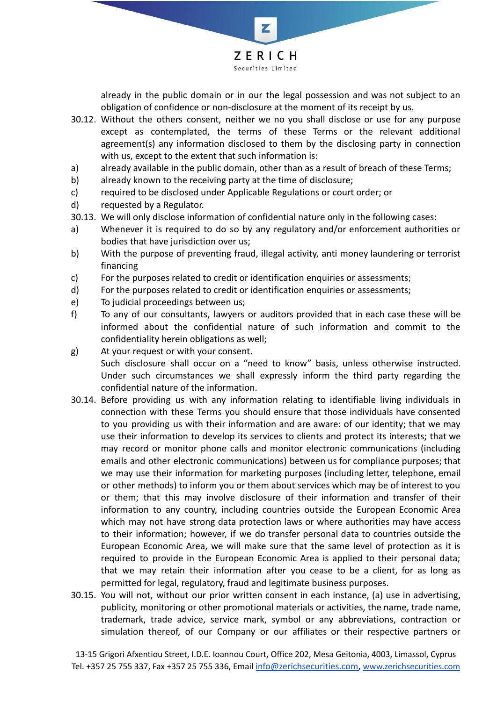

already in the public domain or in our the legal possession and was not subject to an obligation of confidence or non-disclosure at the moment of its receipt by us.

- 30.12. Without the others consent, neither we no you shall disclose or use for any purpose except as contemplated, the terms of these Terms or the relevant additional agreement(s) any information disclosed to them by the disclosing party in connection with us, except to the extent that such information is:
- a) already available in the public domain, other than as a result of breach of these Terms;
- b) already known to the receiving party at the time of disclosure;
- c) required to be disclosed under Applicable Regulations or court order; or
- d) requested by a Regulator.
- 30.13. We will only disclose information of confidential nature only in the following cases:
- a) Whenever it is required to do so by any regulatory and/or enforcement authorities or bodies that have jurisdiction over us;
- b) With the purpose of preventing fraud, illegal activity, anti money laundering or terrorist financing
- c) For the purposes related to credit or identification enquiries or assessments;
- d) For the purposes related to credit or identification enquiries or assessments;
- e) To judicial proceedings between us;
- f) To any of our consultants, lawyers or auditors provided that in each case these will be informed about the confidential nature of such information and commit to the confidentiality herein obligations as well;
- g) At your request or with your consent. Such disclosure shall occur on a "need to know" basis, unless otherwise instructed. Under such circumstances we shall expressly inform the third party regarding the confidential nature of the information.
- 30.14. Before providing us with any information relating to identifiable living individuals in connection with these Terms you should ensure that those individuals have consented to you providing us with their information and are aware: of our identity; that we may use their information to develop its services to clients and protect its interests; that we may record or monitor phone calls and monitor electronic communications (including emails and other electronic communications) between us for compliance purposes; that we may use their information for marketing purposes (including letter, telephone, email or other methods) to inform you or them about services which may be of interest to you or them; that this may involve disclosure of their information and transfer of their information to any country, including countries outside the European Economic Area which may not have strong data protection laws or where authorities may have access to their information; however, if we do transfer personal data to countries outside the European Economic Area, we will make sure that the same level of protection as it is required to provide in the European Economic Area is applied to their personal data; that we may retain their information after you cease to be a client, for as long as permitted for legal, regulatory, fraud and legitimate business purposes.
- 30.15. You will not, without our prior written consent in each instance, (a) use in advertising, publicity, monitoring or other promotional materials or activities, the name, trade name, trademark, trade advice, service mark, symbol or any abbreviations, contraction or simulation thereof, of our Company or our affiliates or their respective partners or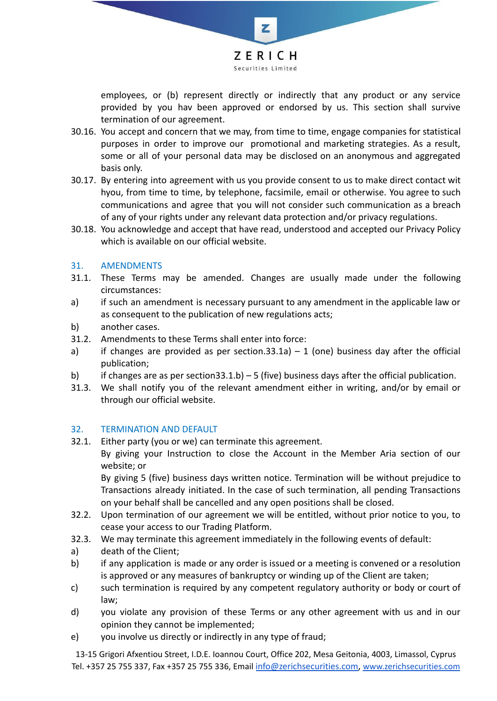

employees, or (b) represent directly or indirectly that any product or any service provided by you hav been approved or endorsed by us. This section shall survive termination of our agreement.

- 30.16. You accept and concern that we may, from time to time, engage companies for statistical purposes in order to improve our promotional and marketing strategies. As a result, some or all of your personal data may be disclosed on an anonymous and aggregated basis only.
- 30.17. By entering into agreement with us you provide consent to us to make direct contact wit hyou, from time to time, by telephone, facsimile, email or otherwise. You agree to such communications and agree that you will not consider such communication as a breach of any of your rights under any relevant data protection and/or privacy regulations.
- 30.18. You acknowledge and accept that have read, understood and accepted our Privacy Policy which is available on our official website.

## 31. AMENDMENTS

- 31.1. These Terms may be amended. Changes are usually made under the following circumstances:
- a) if such an amendment is necessary pursuant to any amendment in the applicable law or as consequent to the publication of new regulations acts;
- b) another cases.
- 31.2. Amendments to these Terms shall enter into force:
- a) if changes are provided as per section.33.1a)  $-1$  (one) business day after the official publication;
- b) if changes are as per section  $33.1.b$  5 (five) business days after the official publication.
- 31.3. We shall notify you of the relevant amendment either in writing, and/or by email or through our official website.

#### 32. TERMINATION AND DEFAULT

32.1. Either party (you or we) can terminate this agreement.

By giving your Instruction to close the Account in the Member Aria section of our website; or

By giving 5 (five) business days written notice. Termination will be without prejudice to Transactions already initiated. In the case of such termination, all pending Transactions on your behalf shall be cancelled and any open positions shall be closed.

- 32.2. Upon termination of our agreement we will be entitled, without prior notice to you, to cease your access to our Trading Platform.
- 32.3. We may terminate this agreement immediately in the following events of default:
- a) death of the Client;
- b) if any application is made or any order is issued or a meeting is convened or a resolution is approved or any measures of bankruptcy or winding up of the Client are taken;
- c) such termination is required by any competent regulatory authority or body or court of law;
- d) you violate any provision of these Terms or any other agreement with us and in our opinion they cannot be implemented;
- e) you involve us directly or indirectly in any type of fraud;

13-15 Grigori Afxentiou Street, I.D.E. Ioannou Court, Office 202, Mesa Geitonia, 4003, Limassol, Cyprus Tel. +357 25 755 337, Fax +357 25 755 336, Email [info@zerichsecurities.com](mailto:info@zerichsecurities.com), [www.zerichsecurities.com](https://www.zerichsecurities.com/)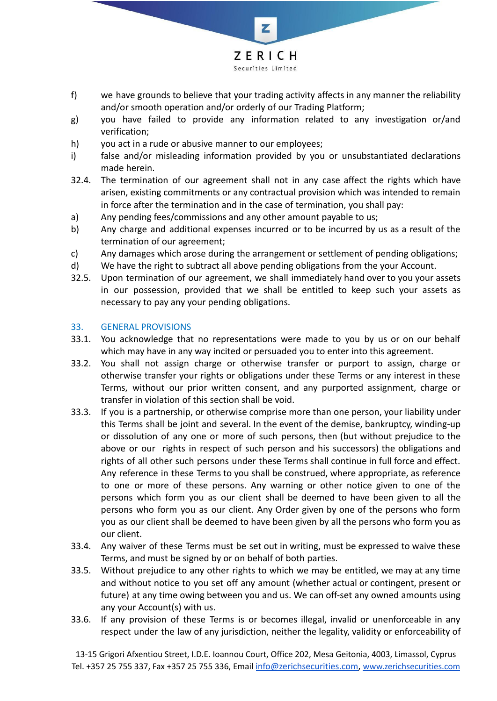

- f) we have grounds to believe that your trading activity affects in any manner the reliability and/or smooth operation and/or orderly of our Trading Platform;
- g) you have failed to provide any information related to any investigation or/and verification;
- h) you act in a rude or abusive manner to our employees;
- i) false and/or misleading information provided by you or unsubstantiated declarations made herein.
- 32.4. The termination of our agreement shall not in any case affect the rights which have arisen, existing commitments or any contractual provision which was intended to remain in force after the termination and in the case of termination, you shall pay:
- a) Any pending fees/commissions and any other amount payable to us;
- b) Any charge and additional expenses incurred or to be incurred by us as a result of the termination of our agreement;
- c) Any damages which arose during the arrangement or settlement of pending obligations;
- d) We have the right to subtract all above pending obligations from the your Account.
- 32.5. Upon termination of our agreement, we shall immediately hand over to you your assets in our possession, provided that we shall be entitled to keep such your assets as necessary to pay any your pending obligations.

## 33. GENERAL PROVISIONS

- 33.1. You acknowledge that no representations were made to you by us or on our behalf which may have in any way incited or persuaded you to enter into this agreement.
- 33.2. You shall not assign charge or otherwise transfer or purport to assign, charge or otherwise transfer your rights or obligations under these Terms or any interest in these Terms, without our prior written consent, and any purported assignment, charge or transfer in violation of this section shall be void.
- 33.3. If you is a partnership, or otherwise comprise more than one person, your liability under this Terms shall be joint and several. In the event of the demise, bankruptcy, winding-up or dissolution of any one or more of such persons, then (but without prejudice to the above or our rights in respect of such person and his successors) the obligations and rights of all other such persons under these Terms shall continue in full force and effect. Any reference in these Terms to you shall be construed, where appropriate, as reference to one or more of these persons. Any warning or other notice given to one of the persons which form you as our client shall be deemed to have been given to all the persons who form you as our client. Any Order given by one of the persons who form you as our client shall be deemed to have been given by all the persons who form you as our client.
- 33.4. Any waiver of these Terms must be set out in writing, must be expressed to waive these Terms, and must be signed by or on behalf of both parties.
- 33.5. Without prejudice to any other rights to which we may be entitled, we may at any time and without notice to you set off any amount (whether actual or contingent, present or future) at any time owing between you and us. We can off-set any owned amounts using any your Account(s) with us.
- 33.6. If any provision of these Terms is or becomes illegal, invalid or unenforceable in any respect under the law of any jurisdiction, neither the legality, validity or enforceability of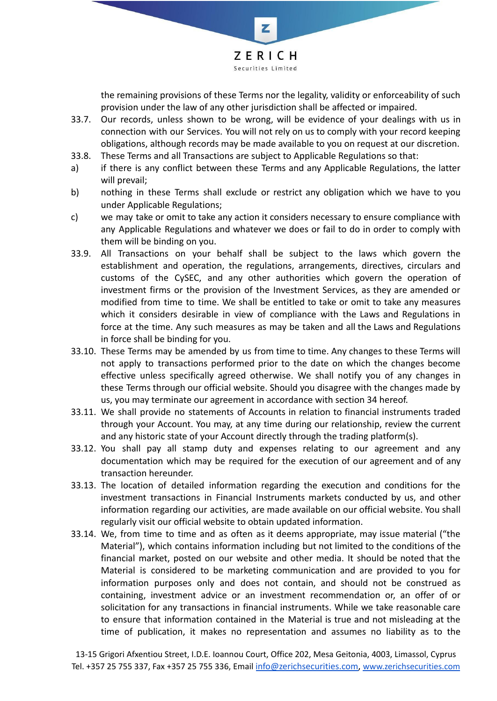

the remaining provisions of these Terms nor the legality, validity or enforceability of such provision under the law of any other jurisdiction shall be affected or impaired.

- 33.7. Our records, unless shown to be wrong, will be evidence of your dealings with us in connection with our Services. You will not rely on us to comply with your record keeping obligations, although records may be made available to you on request at our discretion.
- 33.8. These Terms and all Transactions are subject to Applicable Regulations so that:
- a) if there is any conflict between these Terms and any Applicable Regulations, the latter will prevail;
- b) nothing in these Terms shall exclude or restrict any obligation which we have to you under Applicable Regulations;
- c) we may take or omit to take any action it considers necessary to ensure compliance with any Applicable Regulations and whatever we does or fail to do in order to comply with them will be binding on you.
- 33.9. All Transactions on your behalf shall be subject to the laws which govern the establishment and operation, the regulations, arrangements, directives, circulars and customs of the CySEC, and any other authorities which govern the operation of investment firms or the provision of the Investment Services, as they are amended or modified from time to time. We shall be entitled to take or omit to take any measures which it considers desirable in view of compliance with the Laws and Regulations in force at the time. Any such measures as may be taken and all the Laws and Regulations in force shall be binding for you.
- 33.10. These Terms may be amended by us from time to time. Any changes to these Terms will not apply to transactions performed prior to the date on which the changes become effective unless specifically agreed otherwise. We shall notify you of any changes in these Terms through our official website. Should you disagree with the changes made by us, you may terminate our agreement in accordance with section 34 hereof.
- 33.11. We shall provide no statements of Accounts in relation to financial instruments traded through your Account. You may, at any time during our relationship, review the current and any historic state of your Account directly through the trading platform(s).
- 33.12. You shall pay all stamp duty and expenses relating to our agreement and any documentation which may be required for the execution of our agreement and of any transaction hereunder.
- 33.13. The location of detailed information regarding the execution and conditions for the investment transactions in Financial Instruments markets conducted by us, and other information regarding our activities, are made available on our official website. You shall regularly visit our official website to obtain updated information.
- 33.14. We, from time to time and as often as it deems appropriate, may issue material ("the Material"), which contains information including but not limited to the conditions of the financial market, posted on our website and other media. It should be noted that the Material is considered to be marketing communication and are provided to you for information purposes only and does not contain, and should not be construed as containing, investment advice or an investment recommendation or, an offer of or solicitation for any transactions in financial instruments. While we take reasonable care to ensure that information contained in the Material is true and not misleading at the time of publication, it makes no representation and assumes no liability as to the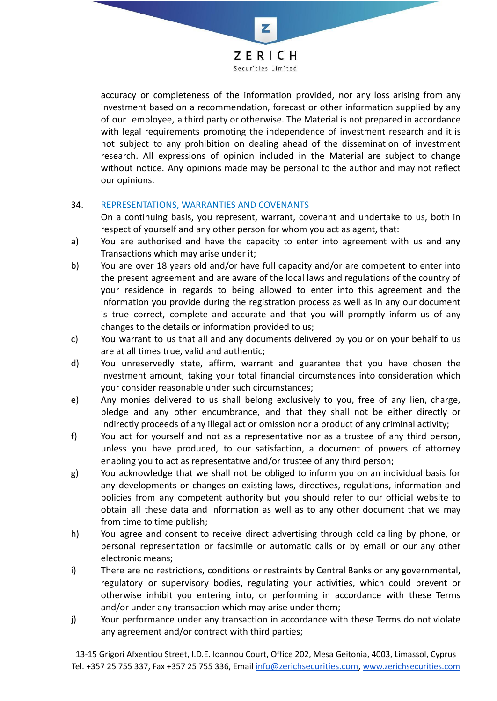

z

accuracy or completeness of the information provided, nor any loss arising from any investment based on a recommendation, forecast or other information supplied by any of our employee, a third party or otherwise. The Material is not prepared in accordance with legal requirements promoting the independence of investment research and it is not subject to any prohibition on dealing ahead of the dissemination of investment research. All expressions of opinion included in the Material are subject to change without notice. Any opinions made may be personal to the author and may not reflect our opinions.

## 34. REPRESENTATIONS, WARRANTIES AND COVENANTS

On a continuing basis, you represent, warrant, covenant and undertake to us, both in respect of yourself and any other person for whom you act as agent, that:

- a) You are authorised and have the capacity to enter into agreement with us and any Transactions which may arise under it;
- b) You are over 18 years old and/or have full capacity and/or are competent to enter into the present agreement and are aware of the local laws and regulations of the country of your residence in regards to being allowed to enter into this agreement and the information you provide during the registration process as well as in any our document is true correct, complete and accurate and that you will promptly inform us of any changes to the details or information provided to us;
- c) You warrant to us that all and any documents delivered by you or on your behalf to us are at all times true, valid and authentic;
- d) You unreservedly state, affirm, warrant and guarantee that you have chosen the investment amount, taking your total financial circumstances into consideration which your consider reasonable under such circumstances;
- e) Any monies delivered to us shall belong exclusively to you, free of any lien, charge, pledge and any other encumbrance, and that they shall not be either directly or indirectly proceeds of any illegal act or omission nor a product of any criminal activity;
- f) You act for yourself and not as a representative nor as a trustee of any third person, unless you have produced, to our satisfaction, a document of powers of attorney enabling you to act as representative and/or trustee of any third person;
- g) You acknowledge that we shall not be obliged to inform you on an individual basis for any developments or changes on existing laws, directives, regulations, information and policies from any competent authority but you should refer to our official website to obtain all these data and information as well as to any other document that we may from time to time publish;
- h) You agree and consent to receive direct advertising through cold calling by phone, or personal representation or facsimile or automatic calls or by email or our any other electronic means;
- i) There are no restrictions, conditions or restraints by Central Banks or any governmental, regulatory or supervisory bodies, regulating your activities, which could prevent or otherwise inhibit you entering into, or performing in accordance with these Terms and/or under any transaction which may arise under them;
- j) Your performance under any transaction in accordance with these Terms do not violate any agreement and/or contract with third parties;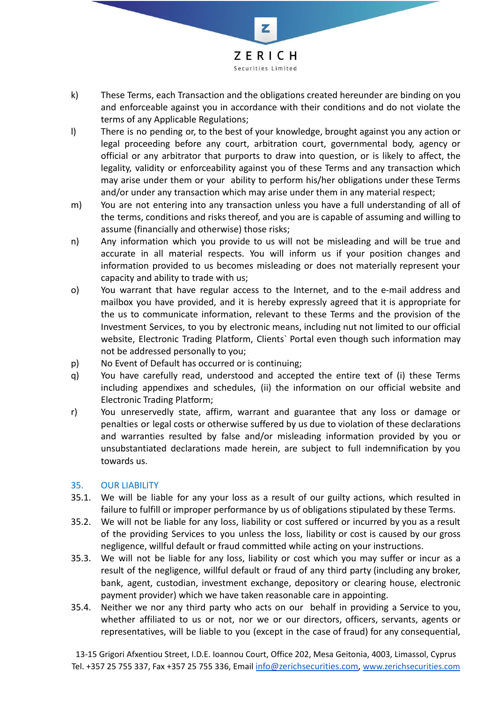

- k) These Terms, each Transaction and the obligations created hereunder are binding on you and enforceable against you in accordance with their conditions and do not violate the terms of any Applicable Regulations;
- l) There is no pending or, to the best of your knowledge, brought against you any action or legal proceeding before any court, arbitration court, governmental body, agency or official or any arbitrator that purports to draw into question, or is likely to affect, the legality, validity or enforceability against you of these Terms and any transaction which may arise under them or your ability to perform his/her obligations under these Terms and/or under any transaction which may arise under them in any material respect;
- m) You are not entering into any transaction unless you have a full understanding of all of the terms, conditions and risks thereof, and you are is capable of assuming and willing to assume (financially and otherwise) those risks;
- n) Any information which you provide to us will not be misleading and will be true and accurate in all material respects. You will inform us if your position changes and information provided to us becomes misleading or does not materially represent your capacity and ability to trade with us;
- o) You warrant that have regular access to the Internet, and to the e-mail address and mailbox you have provided, and it is hereby expressly agreed that it is appropriate for the us to communicate information, relevant to these Terms and the provision of the Investment Services, to you by electronic means, including nut not limited to our official website, Electronic Trading Platform, Clients` Portal even though such information may not be addressed personally to you;
- p) No Event of Default has occurred or is continuing;
- q) You have carefully read, understood and accepted the entire text of (i) these Terms including appendixes and schedules, (ii) the information on our official website and Electronic Trading Platform;
- r) You unreservedly state, affirm, warrant and guarantee that any loss or damage or penalties or legal costs or otherwise suffered by us due to violation of these declarations and warranties resulted by false and/or misleading information provided by you or unsubstantiated declarations made herein, are subject to full indemnification by you towards us.

#### 35. OUR LIABILITY

- 35.1. We will be liable for any your loss as a result of our guilty actions, which resulted in failure to fulfill or improper performance by us of obligations stipulated by these Terms.
- 35.2. We will not be liable for any loss, liability or cost suffered or incurred by you as a result of the providing Services to you unless the loss, liability or cost is caused by our gross negligence, willful default or fraud committed while acting on your instructions.
- 35.3. We will not be liable for any loss, liability or cost which you may suffer or incur as a result of the negligence, willful default or fraud of any third party (including any broker, bank, agent, custodian, investment exchange, depository or clearing house, electronic payment provider) which we have taken reasonable care in appointing.
- 35.4. Neither we nor any third party who acts on our behalf in providing a Service to you, whether affiliated to us or not, nor we or our directors, officers, servants, agents or representatives, will be liable to you (except in the case of fraud) for any consequential,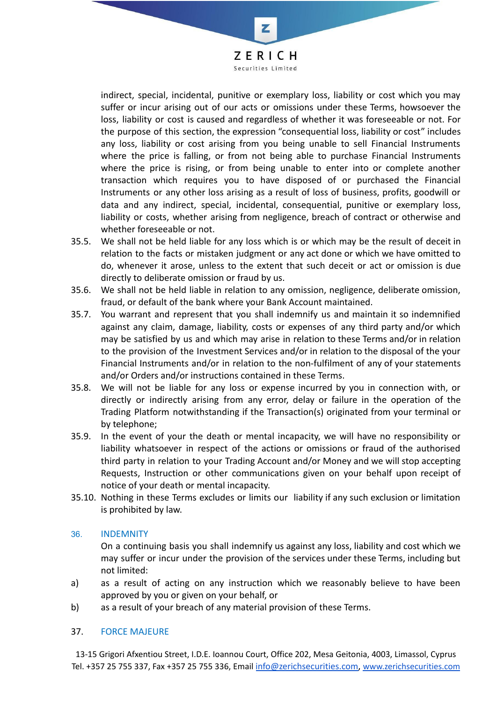ZERICH Securities Limited

z

indirect, special, incidental, punitive or exemplary loss, liability or cost which you may suffer or incur arising out of our acts or omissions under these Terms, howsoever the loss, liability or cost is caused and regardless of whether it was foreseeable or not. For the purpose of this section, the expression "consequential loss, liability or cost" includes any loss, liability or cost arising from you being unable to sell Financial Instruments where the price is falling, or from not being able to purchase Financial Instruments where the price is rising, or from being unable to enter into or complete another transaction which requires you to have disposed of or purchased the Financial Instruments or any other loss arising as a result of loss of business, profits, goodwill or data and any indirect, special, incidental, consequential, punitive or exemplary loss, liability or costs, whether arising from negligence, breach of contract or otherwise and whether foreseeable or not.

- 35.5. We shall not be held liable for any loss which is or which may be the result of deceit in relation to the facts or mistaken judgment or any act done or which we have omitted to do, whenever it arose, unless to the extent that such deceit or act or omission is due directly to deliberate omission or fraud by us.
- 35.6. We shall not be held liable in relation to any omission, negligence, deliberate omission, fraud, or default of the bank where your Bank Account maintained.
- 35.7. You warrant and represent that you shall indemnify us and maintain it so indemnified against any claim, damage, liability, costs or expenses of any third party and/or which may be satisfied by us and which may arise in relation to these Terms and/or in relation to the provision of the Investment Services and/or in relation to the disposal of the your Financial Instruments and/or in relation to the non-fulfilment of any of your statements and/or Orders and/or instructions contained in these Terms.
- 35.8. We will not be liable for any loss or expense incurred by you in connection with, or directly or indirectly arising from any error, delay or failure in the operation of the Trading Platform notwithstanding if the Transaction(s) originated from your terminal or by telephone;
- 35.9. In the event of your the death or mental incapacity, we will have no responsibility or liability whatsoever in respect of the actions or omissions or fraud of the authorised third party in relation to your Trading Account and/or Money and we will stop accepting Requests, Instruction or other communications given on your behalf upon receipt of notice of your death or mental incapacity.
- 35.10. Nothing in these Terms excludes or limits our liability if any such exclusion or limitation is prohibited by law.

#### 36. INDEMNITY

On a continuing basis you shall indemnify us against any loss, liability and cost which we may suffer or incur under the provision of the services under these Terms, including but not limited:

- a) as a result of acting on any instruction which we reasonably believe to have been approved by you or given on your behalf, or
- b) as a result of your breach of any material provision of these Terms.

#### 37. FORCE MAJEURE

13-15 Grigori Afxentiou Street, I.D.E. Ioannou Court, Office 202, Mesa Geitonia, 4003, Limassol, Cyprus Tel. +357 25 755 337, Fax +357 25 755 336, Email [info@zerichsecurities.com](mailto:info@zerichsecurities.com), [www.zerichsecurities.com](https://www.zerichsecurities.com/)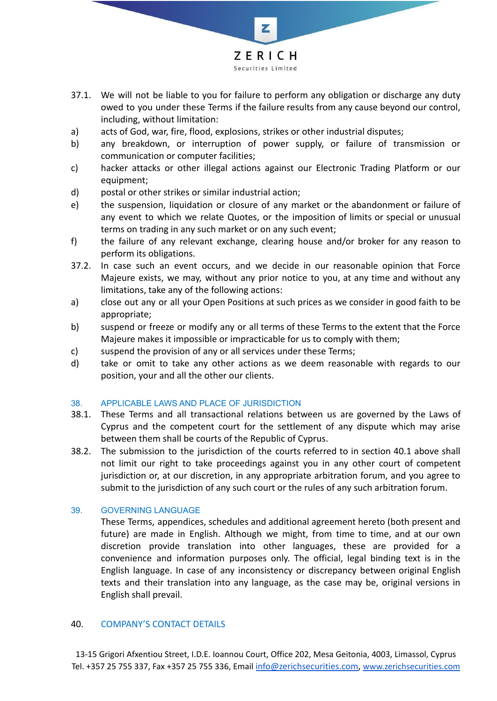

- 37.1. We will not be liable to you for failure to perform any obligation or discharge any duty owed to you under these Terms if the failure results from any cause beyond our control, including, without limitation:
- a) acts of God, war, fire, flood, explosions, strikes or other industrial disputes;
- b) any breakdown, or interruption of power supply, or failure of transmission or communication or computer facilities;
- c) hacker attacks or other illegal actions against our Electronic Trading Platform or our equipment;
- d) postal or other strikes or similar industrial action;
- e) the suspension, liquidation or closure of any market or the abandonment or failure of any event to which we relate Quotes, or the imposition of limits or special or unusual terms on trading in any such market or on any such event;
- f) the failure of any relevant exchange, clearing house and/or broker for any reason to perform its obligations.
- 37.2. In case such an event occurs, and we decide in our reasonable opinion that Force Majeure exists, we may, without any prior notice to you, at any time and without any limitations, take any of the following actions:
- a) close out any or all your Open Positions at such prices as we consider in good faith to be appropriate;
- b) suspend or freeze or modify any or all terms of these Terms to the extent that the Force Majeure makes it impossible or impracticable for us to comply with them;
- c) suspend the provision of any or all services under these Terms;
- d) take or omit to take any other actions as we deem reasonable with regards to our position, your and all the other our clients.

#### 38. APPLICABLE LAWS AND PLACE OF JURISDICTION

- 38.1. These Terms and all transactional relations between us are governed by the Laws of Cyprus and the competent court for the settlement of any dispute which may arise between them shall be courts of the Republic of Cyprus.
- 38.2. The submission to the jurisdiction of the courts referred to in section 40.1 above shall not limit our right to take proceedings against you in any other court of competent jurisdiction or, at our discretion, in any appropriate arbitration forum, and you agree to submit to the jurisdiction of any such court or the rules of any such arbitration forum.

#### 39. GOVERNING LANGUAGE

These Terms, appendices, schedules and additional agreement hereto (both present and future) are made in English. Although we might, from time to time, and at our own discretion provide translation into other languages, these are provided for a convenience and information purposes only. The official, legal binding text is in the English language. In case of any inconsistency or discrepancy between original English texts and their translation into any language, as the case may be, original versions in English shall prevail.

#### 40. COMPANY'S CONTACT DETAILS

13-15 Grigori Afxentiou Street, I.D.E. Ioannou Court, Office 202, Mesa Geitonia, 4003, Limassol, Cyprus Tel. +357 25 755 337, Fax +357 25 755 336, Email [info@zerichsecurities.com](mailto:info@zerichsecurities.com), [www.zerichsecurities.com](https://www.zerichsecurities.com/)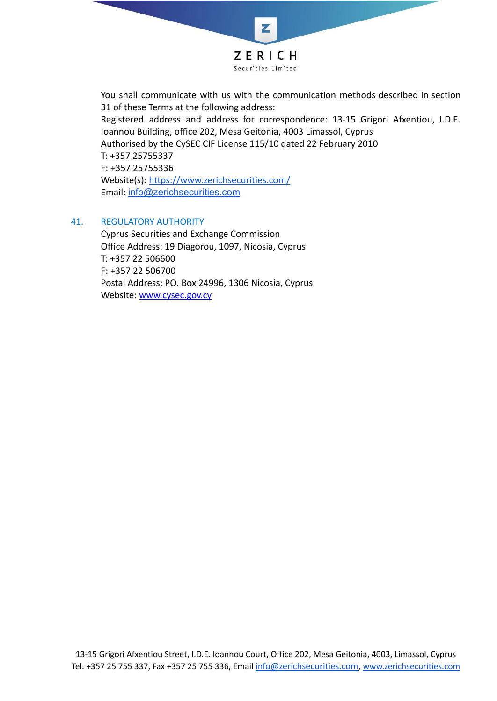

You shall communicate with us with the communication methods described in section 31 of these Terms at the following address: Registered address and address for correspondence: 13-15 Grigori Afxentiou, I.D.E. Ioannou Building, office 202, Mesa Geitonia, 4003 Limassol, Cyprus Authorised by the CySEC CIF License 115/10 dated 22 February 2010 T: +357 25755337 F: +357 25755336 Website(s): <https://www.zerichsecurities.com/> Email: [info@zerichsecurities.com](mailto:info@zerichsecurities.com)

#### 41. REGULATORY AUTHORITY

Cyprus Securities and Exchange Commission Office Address: 19 Diagorou, 1097, Nicosia, Cyprus T: +357 22 506600 F: +357 22 506700 Postal Address: PO. Box 24996, 1306 Nicosia, Cyprus Website: [www.cysec.gov.cy](http://www.cysec.gov.cy)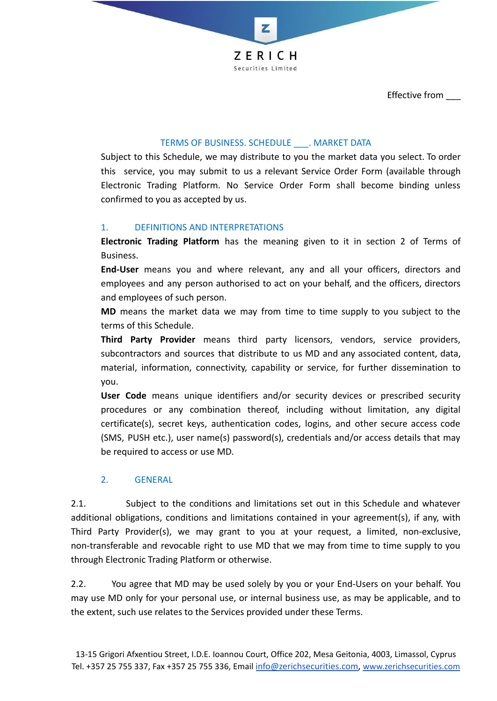

Effective from \_\_\_

# TERMS OF BUSINESS. SCHEDULE . MARKET DATA

Subject to this Schedule, we may distribute to you the market data you select. To order this service, you may submit to us a relevant Service Order Form (available through Electronic Trading Platform. No Service Order Form shall become binding unless confirmed to you as accepted by us.

## 1. DEFINITIONS AND INTERPRETATIONS

**Electronic Trading Platform** has the meaning given to it in section 2 of Terms of Business.

**End‐User** means you and where relevant, any and all your officers, directors and employees and any person authorised to act on your behalf, and the officers, directors and employees of such person.

**MD** means the market data we may from time to time supply to you subject to the terms of this Schedule.

**Third Party Provider** means third party licensors, vendors, service providers, subcontractors and sources that distribute to us MD and any associated content, data, material, information, connectivity, capability or service, for further dissemination to you.

**User Code** means unique identifiers and/or security devices or prescribed security procedures or any combination thereof, including without limitation, any digital certificate(s), secret keys, authentication codes, logins, and other secure access code (SMS, PUSH etc.), user name(s) password(s), credentials and/or access details that may be required to access or use MD.

# 2. GENERAL

2.1. Subject to the conditions and limitations set out in this Schedule and whatever additional obligations, conditions and limitations contained in your agreement(s), if any, with Third Party Provider(s), we may grant to you at your request, a limited, non‐exclusive, non‐transferable and revocable right to use MD that we may from time to time supply to you through Electronic Trading Platform or otherwise.

2.2. You agree that MD may be used solely by you or your End-Users on your behalf. You may use MD only for your personal use, or internal business use, as may be applicable, and to the extent, such use relates to the Services provided under these Terms.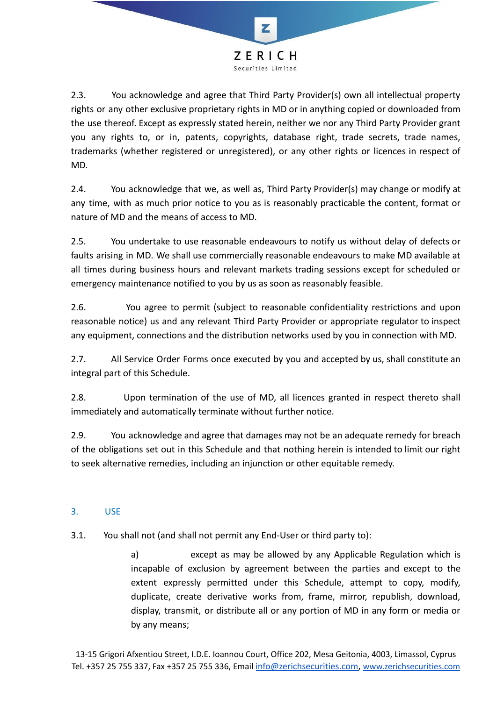

2.3. You acknowledge and agree that Third Party Provider(s) own all intellectual property rights or any other exclusive proprietary rights in MD or in anything copied or downloaded from the use thereof. Except as expressly stated herein, neither we nor any Third Party Provider grant you any rights to, or in, patents, copyrights, database right, trade secrets, trade names, trademarks (whether registered or unregistered), or any other rights or licences in respect of MD.

2.4. You acknowledge that we, as well as, Third Party Provider(s) may change or modify at any time, with as much prior notice to you as is reasonably practicable the content, format or nature of MD and the means of access to MD.

2.5. You undertake to use reasonable endeavours to notify us without delay of defects or faults arising in MD. We shall use commercially reasonable endeavours to make MD available at all times during business hours and relevant markets trading sessions except for scheduled or emergency maintenance notified to you by us as soon as reasonably feasible.

2.6. You agree to permit (subject to reasonable confidentiality restrictions and upon reasonable notice) us and any relevant Third Party Provider or appropriate regulator to inspect any equipment, connections and the distribution networks used by you in connection with MD.

2.7. All Service Order Forms once executed by you and accepted by us, shall constitute an integral part of this Schedule.

2.8. Upon termination of the use of MD, all licences granted in respect thereto shall immediately and automatically terminate without further notice.

2.9. You acknowledge and agree that damages may not be an adequate remedy for breach of the obligations set out in this Schedule and that nothing herein is intended to limit our right to seek alternative remedies, including an injunction or other equitable remedy.

# 3. USE

3.1. You shall not (and shall not permit any End‐User or third party to):

a) except as may be allowed by any Applicable Regulation which is incapable of exclusion by agreement between the parties and except to the extent expressly permitted under this Schedule, attempt to copy, modify, duplicate, create derivative works from, frame, mirror, republish, download, display, transmit, or distribute all or any portion of MD in any form or media or by any means;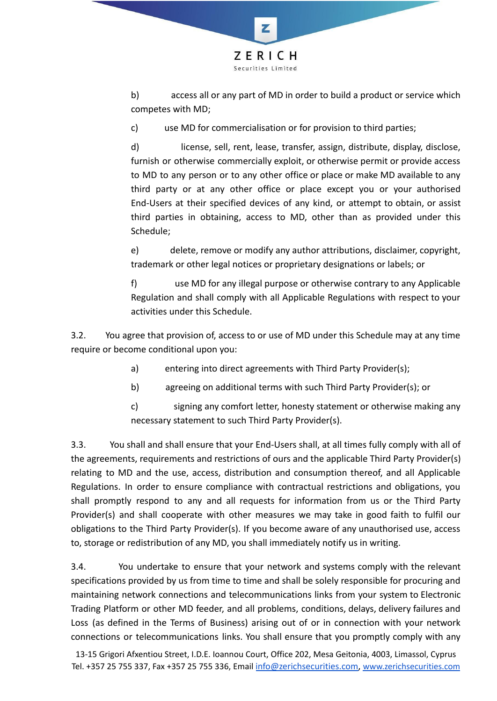

b) access all or any part of MD in order to build a product or service which competes with MD;

c) use MD for commercialisation or for provision to third parties;

d) license, sell, rent, lease, transfer, assign, distribute, display, disclose, furnish or otherwise commercially exploit, or otherwise permit or provide access to MD to any person or to any other office or place or make MD available to any third party or at any other office or place except you or your authorised End‐Users at their specified devices of any kind, or attempt to obtain, or assist third parties in obtaining, access to MD, other than as provided under this Schedule;

e) delete, remove or modify any author attributions, disclaimer, copyright, trademark or other legal notices or proprietary designations or labels; or

f) use MD for any illegal purpose or otherwise contrary to any Applicable Regulation and shall comply with all Applicable Regulations with respect to your activities under this Schedule.

3.2. You agree that provision of, access to or use of MD under this Schedule may at any time require or become conditional upon you:

- a) entering into direct agreements with Third Party Provider(s);
- b) agreeing on additional terms with such Third Party Provider(s); or
- c) signing any comfort letter, honesty statement or otherwise making any necessary statement to such Third Party Provider(s).

3.3. You shall and shall ensure that your End‐Users shall, at all times fully comply with all of the agreements, requirements and restrictions of ours and the applicable Third Party Provider(s) relating to MD and the use, access, distribution and consumption thereof, and all Applicable Regulations. In order to ensure compliance with contractual restrictions and obligations, you shall promptly respond to any and all requests for information from us or the Third Party Provider(s) and shall cooperate with other measures we may take in good faith to fulfil our obligations to the Third Party Provider(s). If you become aware of any unauthorised use, access to, storage or redistribution of any MD, you shall immediately notify us in writing.

3.4. You undertake to ensure that your network and systems comply with the relevant specifications provided by us from time to time and shall be solely responsible for procuring and maintaining network connections and telecommunications links from your system to Electronic Trading Platform or other MD feeder, and all problems, conditions, delays, delivery failures and Loss (as defined in the Terms of Business) arising out of or in connection with your network connections or telecommunications links. You shall ensure that you promptly comply with any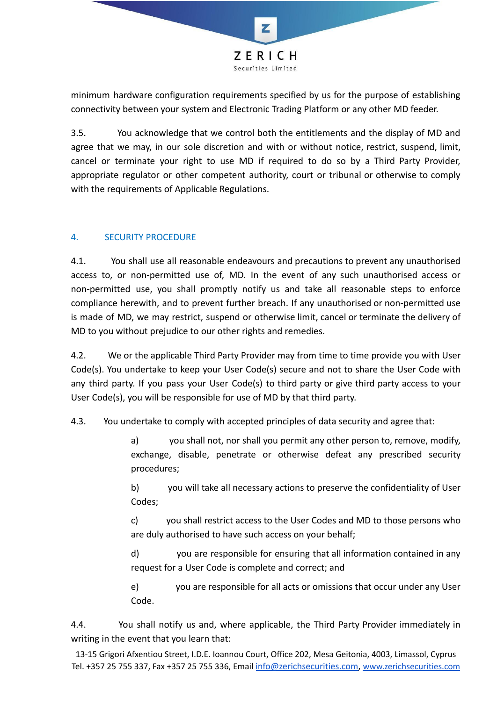

minimum hardware configuration requirements specified by us for the purpose of establishing connectivity between your system and Electronic Trading Platform or any other MD feeder.

3.5. You acknowledge that we control both the entitlements and the display of MD and agree that we may, in our sole discretion and with or without notice, restrict, suspend, limit, cancel or terminate your right to use MD if required to do so by a Third Party Provider, appropriate regulator or other competent authority, court or tribunal or otherwise to comply with the requirements of Applicable Regulations.

# 4. SECURITY PROCEDURE

4.1. You shall use all reasonable endeavours and precautions to prevent any unauthorised access to, or non‐permitted use of, MD. In the event of any such unauthorised access or non‐permitted use, you shall promptly notify us and take all reasonable steps to enforce compliance herewith, and to prevent further breach. If any unauthorised or non‐permitted use is made of MD, we may restrict, suspend or otherwise limit, cancel or terminate the delivery of MD to you without prejudice to our other rights and remedies.

4.2. We or the applicable Third Party Provider may from time to time provide you with User Code(s). You undertake to keep your User Code(s) secure and not to share the User Code with any third party. If you pass your User Code(s) to third party or give third party access to your User Code(s), you will be responsible for use of MD by that third party.

4.3. You undertake to comply with accepted principles of data security and agree that:

a) you shall not, nor shall you permit any other person to, remove, modify, exchange, disable, penetrate or otherwise defeat any prescribed security procedures;

b) you will take all necessary actions to preserve the confidentiality of User Codes;

c) you shall restrict access to the User Codes and MD to those persons who are duly authorised to have such access on your behalf;

d) you are responsible for ensuring that all information contained in any request for a User Code is complete and correct; and

e) you are responsible for all acts or omissions that occur under any User Code.

4.4. You shall notify us and, where applicable, the Third Party Provider immediately in writing in the event that you learn that:

13-15 Grigori Afxentiou Street, I.D.E. Ioannou Court, Office 202, Mesa Geitonia, 4003, Limassol, Cyprus Tel. +357 25 755 337, Fax +357 25 755 336, Email [info@zerichsecurities.com](mailto:info@zerichsecurities.com), [www.zerichsecurities.com](https://www.zerichsecurities.com/)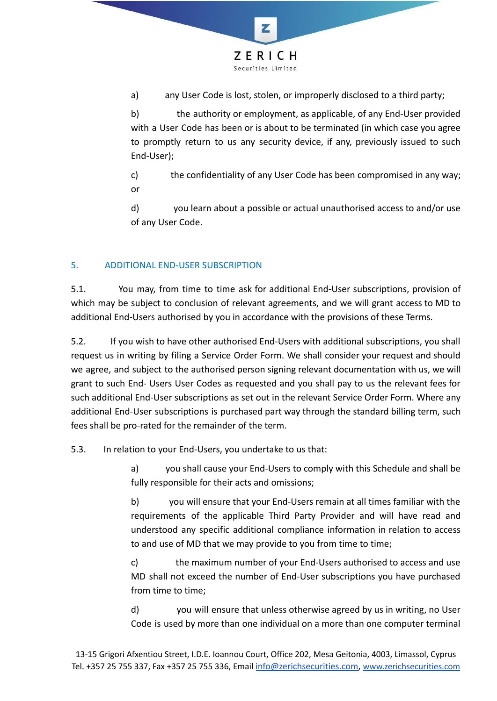

a) any User Code is lost, stolen, or improperly disclosed to a third party;

b) the authority or employment, as applicable, of any End‐User provided with a User Code has been or is about to be terminated (in which case you agree to promptly return to us any security device, if any, previously issued to such End‐User);

c) the confidentiality of any User Code has been compromised in any way; or

d) you learn about a possible or actual unauthorised access to and/or use of any User Code.

# 5. ADDITIONAL END-USER SUBSCRIPTION

5.1. You may, from time to time ask for additional End‐User subscriptions, provision of which may be subject to conclusion of relevant agreements, and we will grant access to MD to additional End‐Users authorised by you in accordance with the provisions of these Terms.

5.2. If you wish to have other authorised End-Users with additional subscriptions, you shall request us in writing by filing a Service Order Form. We shall consider your request and should we agree, and subject to the authorised person signing relevant documentation with us, we will grant to such End‐ Users User Codes as requested and you shall pay to us the relevant fees for such additional End‐User subscriptions as set out in the relevant Service Order Form. Where any additional End‐User subscriptions is purchased part way through the standard billing term, such fees shall be pro-rated for the remainder of the term.

5.3. In relation to your End‐Users, you undertake to us that:

a) you shall cause your End‐Users to comply with this Schedule and shall be fully responsible for their acts and omissions;

b) you will ensure that your End‐Users remain at all times familiar with the requirements of the applicable Third Party Provider and will have read and understood any specific additional compliance information in relation to access to and use of MD that we may provide to you from time to time;

c) the maximum number of your End‐Users authorised to access and use MD shall not exceed the number of End‐User subscriptions you have purchased from time to time;

d) you will ensure that unless otherwise agreed by us in writing, no User Code is used by more than one individual on a more than one computer terminal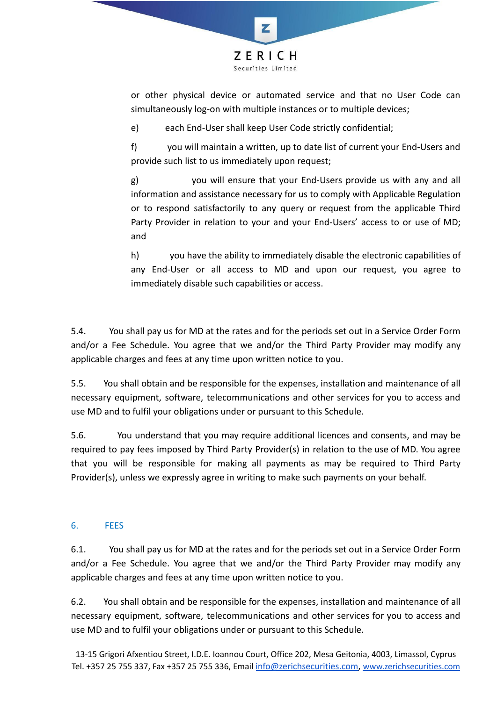

or other physical device or automated service and that no User Code can simultaneously log-on with multiple instances or to multiple devices;

e) each End‐User shall keep User Code strictly confidential;

f) you will maintain a written, up to date list of current your End‐Users and provide such list to us immediately upon request;

g) you will ensure that your End‐Users provide us with any and all information and assistance necessary for us to comply with Applicable Regulation or to respond satisfactorily to any query or request from the applicable Third Party Provider in relation to your and your End-Users' access to or use of MD; and

h) you have the ability to immediately disable the electronic capabilities of any End‐User or all access to MD and upon our request, you agree to immediately disable such capabilities or access.

5.4. You shall pay us for MD at the rates and for the periods set out in a Service Order Form and/or a Fee Schedule. You agree that we and/or the Third Party Provider may modify any applicable charges and fees at any time upon written notice to you.

5.5. You shall obtain and be responsible for the expenses, installation and maintenance of all necessary equipment, software, telecommunications and other services for you to access and use MD and to fulfil your obligations under or pursuant to this Schedule.

5.6. You understand that you may require additional licences and consents, and may be required to pay fees imposed by Third Party Provider(s) in relation to the use of MD. You agree that you will be responsible for making all payments as may be required to Third Party Provider(s), unless we expressly agree in writing to make such payments on your behalf.

# 6. FEES

6.1. You shall pay us for MD at the rates and for the periods set out in a Service Order Form and/or a Fee Schedule. You agree that we and/or the Third Party Provider may modify any applicable charges and fees at any time upon written notice to you.

6.2. You shall obtain and be responsible for the expenses, installation and maintenance of all necessary equipment, software, telecommunications and other services for you to access and use MD and to fulfil your obligations under or pursuant to this Schedule.

13-15 Grigori Afxentiou Street, I.D.E. Ioannou Court, Office 202, Mesa Geitonia, 4003, Limassol, Cyprus Tel. +357 25 755 337, Fax +357 25 755 336, Email [info@zerichsecurities.com](mailto:info@zerichsecurities.com), [www.zerichsecurities.com](https://www.zerichsecurities.com/)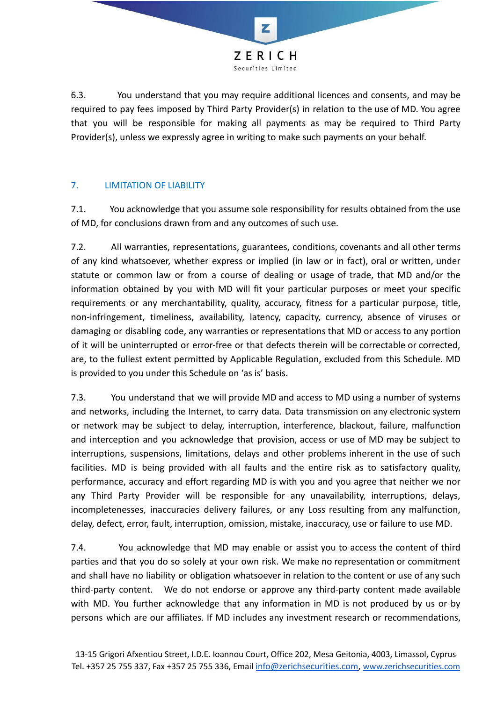

6.3. You understand that you may require additional licences and consents, and may be required to pay fees imposed by Third Party Provider(s) in relation to the use of MD. You agree that you will be responsible for making all payments as may be required to Third Party Provider(s), unless we expressly agree in writing to make such payments on your behalf.

# 7. LIMITATION OF LIABILITY

7.1. You acknowledge that you assume sole responsibility for results obtained from the use of MD, for conclusions drawn from and any outcomes of such use.

7.2. All warranties, representations, guarantees, conditions, covenants and all other terms of any kind whatsoever, whether express or implied (in law or in fact), oral or written, under statute or common law or from a course of dealing or usage of trade, that MD and/or the information obtained by you with MD will fit your particular purposes or meet your specific requirements or any merchantability, quality, accuracy, fitness for a particular purpose, title, non‐infringement, timeliness, availability, latency, capacity, currency, absence of viruses or damaging or disabling code, any warranties or representations that MD or access to any portion of it will be uninterrupted or error‐free or that defects therein will be correctable or corrected, are, to the fullest extent permitted by Applicable Regulation, excluded from this Schedule. MD is provided to you under this Schedule on 'as is' basis.

7.3. You understand that we will provide MD and access to MD using a number of systems and networks, including the Internet, to carry data. Data transmission on any electronic system or network may be subject to delay, interruption, interference, blackout, failure, malfunction and interception and you acknowledge that provision, access or use of MD may be subject to interruptions, suspensions, limitations, delays and other problems inherent in the use of such facilities. MD is being provided with all faults and the entire risk as to satisfactory quality, performance, accuracy and effort regarding MD is with you and you agree that neither we nor any Third Party Provider will be responsible for any unavailability, interruptions, delays, incompletenesses, inaccuracies delivery failures, or any Loss resulting from any malfunction, delay, defect, error, fault, interruption, omission, mistake, inaccuracy, use or failure to use MD.

7.4. You acknowledge that MD may enable or assist you to access the content of third parties and that you do so solely at your own risk. We make no representation or commitment and shall have no liability or obligation whatsoever in relation to the content or use of any such third‐party content. We do not endorse or approve any third‐party content made available with MD. You further acknowledge that any information in MD is not produced by us or by persons which are our affiliates. If MD includes any investment research or recommendations,